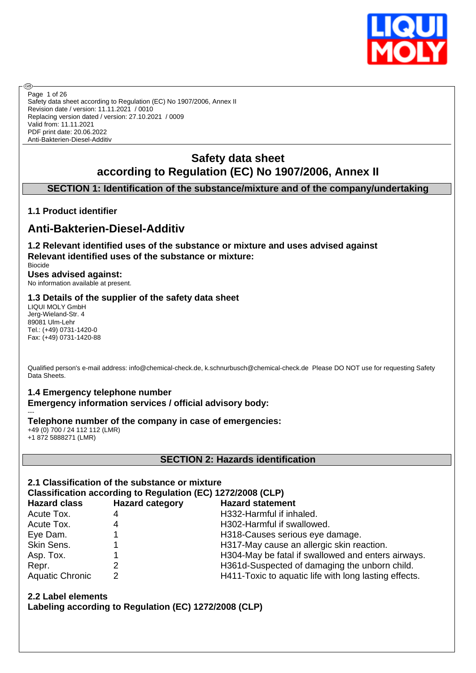

Safety data sheet according to Regulation (EC) No 1907/2006, Annex II Revision date / version: 11.11.2021 / 0010 Replacing version dated / version: 27.10.2021 / 0009 Valid from: 11.11.2021 PDF print date: 20.06.2022 Anti-Bakterien-Diesel-Additiv Page 1 of 26

# **Safety data sheet according to Regulation (EC) No 1907/2006, Annex II**

# **SECTION 1: Identification of the substance/mixture and of the company/undertaking**

# **1.1 Product identifier**

൹

# **Anti-Bakterien-Diesel-Additiv**

**1.2 Relevant identified uses of the substance or mixture and uses advised against Relevant identified uses of the substance or mixture:** Biocide

#### **Uses advised against:** No information available at present.

#### **1.3 Details of the supplier of the safety data sheet**

LIQUI MOLY GmbH Jerg-Wieland-Str. 4 89081 Ulm-Lehr Tel.: (+49) 0731-1420-0 Fax: (+49) 0731-1420-88

Qualified person's e-mail address: info@chemical-check.de, k.schnurbusch@chemical-check.de Please DO NOT use for requesting Safety Data Sheets.

# **1.4 Emergency telephone number**

**Emergency information services / official advisory body:** ---

#### **Telephone number of the company in case of emergencies:**

+49 (0) 700 / 24 112 112 (LMR) +1 872 5888271 (LMR)

### **SECTION 2: Hazards identification**

### **2.1 Classification of the substance or mixture**

**Classification according to Regulation (EC) 1272/2008 (CLP)**

| <b>Hazard class</b>    | <b>Hazard category</b> | <b>Hazard statement</b>                               |
|------------------------|------------------------|-------------------------------------------------------|
| Acute Tox.             | 4                      | H332-Harmful if inhaled.                              |
| Acute Tox.             | 4                      | H302-Harmful if swallowed.                            |
| Eye Dam.               |                        | H318-Causes serious eye damage.                       |
| Skin Sens.             |                        | H317-May cause an allergic skin reaction.             |
| Asp. Tox.              |                        | H304-May be fatal if swallowed and enters airways.    |
| Repr.                  |                        | H361d-Suspected of damaging the unborn child.         |
| <b>Aquatic Chronic</b> |                        | H411-Toxic to aquatic life with long lasting effects. |

**2.2 Label elements**

**Labeling according to Regulation (EC) 1272/2008 (CLP)**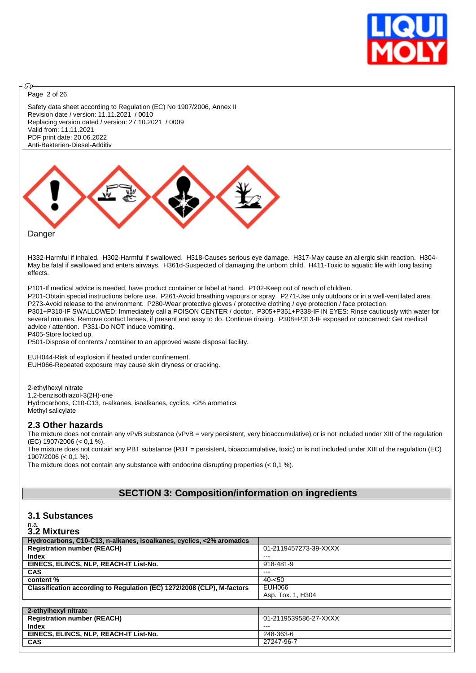

Page 2 of 26

@

Safety data sheet according to Regulation (EC) No 1907/2006, Annex II Revision date / version: 11.11.2021 / 0010 Replacing version dated / version: 27.10.2021 / 0009 Valid from: 11.11.2021 PDF print date: 20.06.2022 Anti-Bakterien-Diesel-Additiv



Danger

H332-Harmful if inhaled. H302-Harmful if swallowed. H318-Causes serious eye damage. H317-May cause an allergic skin reaction. H304- May be fatal if swallowed and enters airways. H361d-Suspected of damaging the unborn child. H411-Toxic to aquatic life with long lasting effects.

P101-If medical advice is needed, have product container or label at hand. P102-Keep out of reach of children. P201-Obtain special instructions before use. P261-Avoid breathing vapours or spray. P271-Use only outdoors or in a well-ventilated area. P273-Avoid release to the environment. P280-Wear protective gloves / protective clothing / eye protection / face protection. P301+P310-IF SWALLOWED: Immediately call a POISON CENTER / doctor. P305+P351+P338-IF IN EYES: Rinse cautiously with water for several minutes. Remove contact lenses, if present and easy to do. Continue rinsing. P308+P313-IF exposed or concerned: Get medical advice / attention. P331-Do NOT induce vomiting. P405-Store locked up.

P501-Dispose of contents / container to an approved waste disposal facility.

EUH044-Risk of explosion if heated under confinement. EUH066-Repeated exposure may cause skin dryness or cracking.

2-ethylhexyl nitrate 1,2-benzisothiazol-3(2H)-one Hydrocarbons, C10-C13, n-alkanes, isoalkanes, cyclics, <2% aromatics Methyl salicylate

#### **2.3 Other hazards**

The mixture does not contain any vPvB substance (vPvB = very persistent, very bioaccumulative) or is not included under XIII of the regulation (EC) 1907/2006 (< 0,1 %).

The mixture does not contain any PBT substance (PBT = persistent, bioaccumulative, toxic) or is not included under XIII of the regulation (EC) 1907/2006 (< 0,1 %).

The mixture does not contain any substance with endocrine disrupting properties  $(< 0.1$  %).

## **SECTION 3: Composition/information on ingredients**

#### **3.1 Substances**

n.a. **3.2 Mixtures**

| J.L MIALUIGJ                                                           |                       |
|------------------------------------------------------------------------|-----------------------|
| Hydrocarbons, C10-C13, n-alkanes, isoalkanes, cyclics, <2% aromatics   |                       |
| <b>Registration number (REACH)</b>                                     | 01-2119457273-39-XXXX |
| Index                                                                  | ---                   |
| EINECS, ELINCS, NLP, REACH-IT List-No.                                 | 918-481-9             |
| <b>CAS</b>                                                             | ---                   |
| content %                                                              | $40 - 50$             |
| Classification according to Regulation (EC) 1272/2008 (CLP), M-factors | EUH066                |
|                                                                        | Asp. Tox. 1, H304     |
|                                                                        |                       |
| 2-ethylhexyl nitrate                                                   |                       |
| <b>Registration number (REACH)</b>                                     | 01-2119539586-27-XXXX |
| Index                                                                  | ---                   |
| EINECS, ELINCS, NLP, REACH-IT List-No.                                 | 248-363-6             |
| <b>CAS</b>                                                             | 27247-96-7            |
|                                                                        |                       |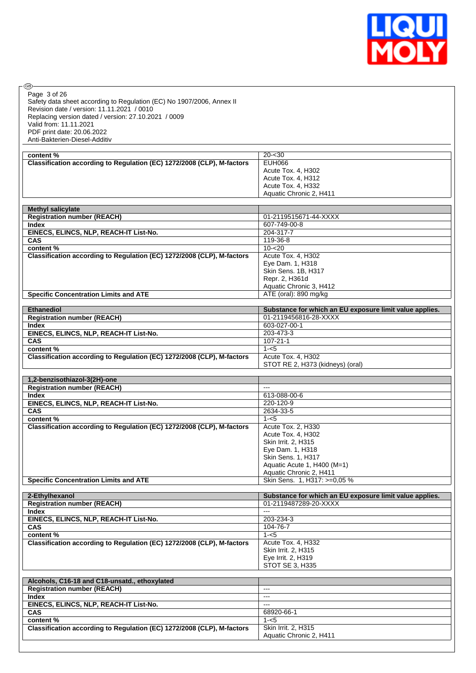

| ®                                                                      |                                                         |
|------------------------------------------------------------------------|---------------------------------------------------------|
|                                                                        |                                                         |
| Page 3 of 26                                                           |                                                         |
| Safety data sheet according to Regulation (EC) No 1907/2006, Annex II  |                                                         |
| Revision date / version: 11.11.2021 / 0010                             |                                                         |
| Replacing version dated / version: 27.10.2021 / 0009                   |                                                         |
| Valid from: 11.11.2021                                                 |                                                         |
| PDF print date: 20.06.2022                                             |                                                         |
| Anti-Bakterien-Diesel-Additiv                                          |                                                         |
|                                                                        |                                                         |
| content%                                                               | $20 - 30$                                               |
| Classification according to Regulation (EC) 1272/2008 (CLP), M-factors | <b>EUH066</b>                                           |
|                                                                        |                                                         |
|                                                                        | Acute Tox. 4, H302                                      |
|                                                                        | Acute Tox. 4. H312                                      |
|                                                                        | Acute Tox. 4, H332                                      |
|                                                                        | Aquatic Chronic 2, H411                                 |
|                                                                        |                                                         |
| <b>Methyl salicylate</b>                                               |                                                         |
| <b>Registration number (REACH)</b>                                     | 01-2119515671-44-XXXX                                   |
| <b>Index</b>                                                           | 607-749-00-8                                            |
| EINECS, ELINCS, NLP, REACH-IT List-No.                                 | 204-317-7                                               |
| <b>CAS</b>                                                             | 119-36-8                                                |
| content %                                                              | $10 - 20$                                               |
|                                                                        |                                                         |
| Classification according to Regulation (EC) 1272/2008 (CLP), M-factors | Acute Tox. 4, H302                                      |
|                                                                        | Eye Dam. 1, H318                                        |
|                                                                        | Skin Sens. 1B, H317                                     |
|                                                                        | Repr. 2, H361d                                          |
|                                                                        | Aquatic Chronic 3, H412                                 |
| <b>Specific Concentration Limits and ATE</b>                           | ATE (oral): 890 mg/kg                                   |
|                                                                        |                                                         |
| <b>Ethanediol</b>                                                      | Substance for which an EU exposure limit value applies. |
| <b>Registration number (REACH)</b>                                     | 01-2119456816-28-XXXX                                   |
| <b>Index</b>                                                           | 603-027-00-1                                            |
| EINECS, ELINCS, NLP, REACH-IT List-No.                                 | 203-473-3                                               |
| CAS                                                                    | $107 - 21 - 1$                                          |
| content%                                                               | $1 - 5$                                                 |
| Classification according to Regulation (EC) 1272/2008 (CLP), M-factors | Acute Tox. 4, H302                                      |
|                                                                        | STOT RE 2, H373 (kidneys) (oral)                        |
|                                                                        |                                                         |
| 1,2-benzisothiazol-3(2H)-one                                           |                                                         |
| <b>Registration number (REACH)</b>                                     | $\overline{a}$                                          |
| <b>Index</b>                                                           | 613-088-00-6                                            |
|                                                                        |                                                         |
| EINECS, ELINCS, NLP, REACH-IT List-No.                                 | 220-120-9                                               |
| <b>CAS</b>                                                             | 2634-33-5                                               |
| content %                                                              | $1 - 5$                                                 |
| Classification according to Regulation (EC) 1272/2008 (CLP), M-factors | Acute Tox. 2, H330                                      |
|                                                                        | Acute Tox. 4, H302                                      |
|                                                                        | Skin Irrit. 2, H315                                     |
|                                                                        | Eye Dam. 1, H318                                        |
|                                                                        | Skin Sens. 1. H317                                      |
|                                                                        | Aquatic Acute 1, H400 (M=1)                             |
|                                                                        | Aquatic Chronic 2, H411                                 |
| <b>Specific Concentration Limits and ATE</b>                           | Skin Sens. 1, H317: >=0,05 %                            |
|                                                                        |                                                         |
| 2-Ethylhexanol                                                         | Substance for which an EU exposure limit value applies. |
| <b>Registration number (REACH)</b>                                     | 01-2119487289-20-XXXX                                   |
| <b>Index</b>                                                           | $---$                                                   |
|                                                                        |                                                         |
| EINECS, ELINCS, NLP, REACH-IT List-No.                                 | 203-234-3                                               |
| CAS                                                                    | 104-76-7                                                |
| content%                                                               | $1 - 5$                                                 |
| Classification according to Regulation (EC) 1272/2008 (CLP), M-factors | Acute Tox. 4, H332                                      |
|                                                                        | Skin Irrit. 2, H315                                     |
|                                                                        | Eye Irrit. 2, H319                                      |
|                                                                        | <b>STOT SE 3, H335</b>                                  |
|                                                                        |                                                         |
| Alcohols, C16-18 and C18-unsatd., ethoxylated                          |                                                         |
| <b>Registration number (REACH)</b>                                     | $\overline{\phantom{a}}$                                |

| <b>Registration number (REACH)</b>                                     | $- - -$                    |
|------------------------------------------------------------------------|----------------------------|
| Index                                                                  | $- - -$                    |
| EINECS, ELINCS, NLP, REACH-IT List-No.                                 | ---                        |
| <b>CAS</b>                                                             | 68920-66-1                 |
| content %                                                              | 1-<5                       |
| Classification according to Regulation (EC) 1272/2008 (CLP), M-factors | <b>Skin Irrit. 2. H315</b> |
|                                                                        | Aquatic Chronic 2, H411    |
|                                                                        |                            |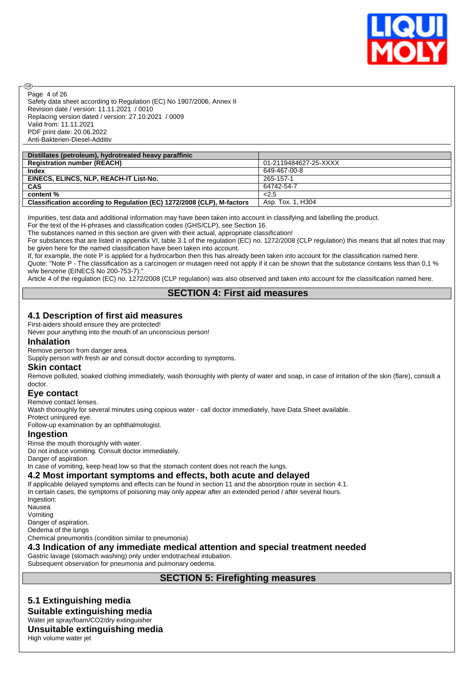

Safety data sheet according to Regulation (EC) No 1907/2006, Annex II Revision date / version: 11.11.2021 / 0010 Replacing version dated / version: 27.10.2021 / 0009 Valid from: 11.11.2021 PDF print date: 20.06.2022 Anti-Bakterien-Diesel-Additiv Page 4 of 26

| Distillates (petroleum), hydrotreated heavy paraffinic                 |                       |
|------------------------------------------------------------------------|-----------------------|
| <b>Registration number (REACH)</b>                                     | 01-2119484627-25-XXXX |
| Index                                                                  | 649-467-00-8          |
| EINECS, ELINCS, NLP, REACH-IT List-No.                                 | 265-157-1             |
| <b>CAS</b>                                                             | 64742-54-7            |
| content %                                                              | 2.5                   |
| Classification according to Regulation (EC) 1272/2008 (CLP), M-factors | Asp. Tox. 1, H304     |

Impurities, test data and additional information may have been taken into account in classifying and labelling the product.

For the text of the H-phrases and classification codes (GHS/CLP), see Section 16.

The substances named in this section are given with their actual, appropriate classification!

For substances that are listed in appendix VI, table 3.1 of the regulation (EC) no. 1272/2008 (CLP regulation) this means that all notes that may be given here for the named classification have been taken into account.

If, for example, the note P is applied for a hydrocarbon then this has already been taken into account for the classification named here. Quote: "Note P - The classification as a carcinogen or mutagen need not apply if it can be shown that the substance contains less than 0,1 % w/w benzene (EINECS No 200-753-7).

Article 4 of the regulation (EC) no. 1272/2008 (CLP regulation) was also observed and taken into account for the classification named here.

#### **SECTION 4: First aid measures**

#### **4.1 Description of first aid measures**

First-aiders should ensure they are protected!

Never pour anything into the mouth of an unconscious person!

#### **Inhalation**

രി

Remove person from danger area.

Supply person with fresh air and consult doctor according to symptoms.

#### **Skin contact**

Remove polluted, soaked clothing immediately, wash thoroughly with plenty of water and soap, in case of irritation of the skin (flare), consult a doctor.

#### **Eye contact**

Remove contact lenses.

Wash thoroughly for several minutes using copious water - call doctor immediately, have Data Sheet available.

Protect uninjured eye.

Follow-up examination by an ophthalmologist.

#### **Ingestion**

Rinse the mouth thoroughly with water.

Do not induce vomiting. Consult doctor immediately.

Danger of aspiration.

In case of vomiting, keep head low so that the stomach content does not reach the lungs.

#### **4.2 Most important symptoms and effects, both acute and delayed**

If applicable delayed symptoms and effects can be found in section 11 and the absorption route in section 4.1. In certain cases, the symptoms of poisoning may only appear after an extended period / after several hours. Ingestion: **Nausea** Vomiting Danger of aspiration. Oedema of the lungs Chemical pneumonitis (condition similar to pneumonia) **4.3 Indication of any immediate medical attention and special treatment needed**

Gastric lavage (stomach washing) only under endotracheal intubation.

Subsequent observation for pneumonia and pulmonary oedema.

# **SECTION 5: Firefighting measures**

# **5.1 Extinguishing media**

**Suitable extinguishing media** Water jet spray/foam/CO2/dry extinguisher

#### **Unsuitable extinguishing media**

High volume water jet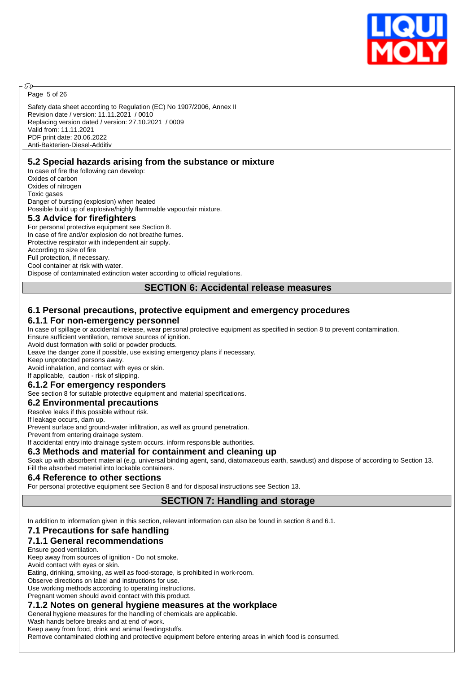

Page 5 of 26

അ

Safety data sheet according to Regulation (EC) No 1907/2006, Annex II Revision date / version: 11.11.2021 / 0010 Replacing version dated / version: 27.10.2021 / 0009 Valid from: 11.11.2021 PDF print date: 20.06.2022 Anti-Bakterien-Diesel-Additiv

#### **5.2 Special hazards arising from the substance or mixture**

In case of fire the following can develop: Oxides of carbon Oxides of nitrogen Toxic gases Danger of bursting (explosion) when heated Possible build up of explosive/highly flammable vapour/air mixture.

#### **5.3 Advice for firefighters**

For personal protective equipment see Section 8. In case of fire and/or explosion do not breathe fumes. Protective respirator with independent air supply. According to size of fire Full protection, if necessary. Cool container at risk with water. Dispose of contaminated extinction water according to official regulations.

**SECTION 6: Accidental release measures**

#### **6.1 Personal precautions, protective equipment and emergency procedures 6.1.1 For non-emergency personnel**

In case of spillage or accidental release, wear personal protective equipment as specified in section 8 to prevent contamination. Ensure sufficient ventilation, remove sources of ignition.

Avoid dust formation with solid or powder products.

Leave the danger zone if possible, use existing emergency plans if necessary.

Keep unprotected persons away.

Avoid inhalation, and contact with eyes or skin. If applicable, caution - risk of slipping.

# **6.1.2 For emergency responders**

See section 8 for suitable protective equipment and material specifications.

#### **6.2 Environmental precautions**

Resolve leaks if this possible without risk.

If leakage occurs, dam up.

Prevent surface and ground-water infiltration, as well as ground penetration.

Prevent from entering drainage system.

If accidental entry into drainage system occurs, inform responsible authorities.

#### **6.3 Methods and material for containment and cleaning up**

Soak up with absorbent material (e.g. universal binding agent, sand, diatomaceous earth, sawdust) and dispose of according to Section 13. Fill the absorbed material into lockable containers.

#### **6.4 Reference to other sections**

For personal protective equipment see Section 8 and for disposal instructions see Section 13.

#### **SECTION 7: Handling and storage**

In addition to information given in this section, relevant information can also be found in section 8 and 6.1.

#### **7.1 Precautions for safe handling**

#### **7.1.1 General recommendations**

Ensure good ventilation.

Keep away from sources of ignition - Do not smoke.

Avoid contact with eyes or skin.

Eating, drinking, smoking, as well as food-storage, is prohibited in work-room.

Observe directions on label and instructions for use.

Use working methods according to operating instructions.

Pregnant women should avoid contact with this product.

#### **7.1.2 Notes on general hygiene measures at the workplace**

General hygiene measures for the handling of chemicals are applicable.

Wash hands before breaks and at end of work.

Keep away from food, drink and animal feedingstuffs.

Remove contaminated clothing and protective equipment before entering areas in which food is consumed.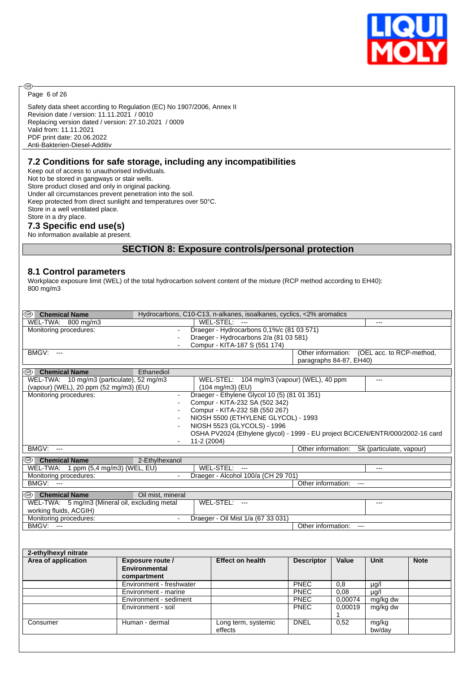

Page 6 of 26

®

Safety data sheet according to Regulation (EC) No 1907/2006, Annex II Revision date / version: 11.11.2021 / 0010 Replacing version dated / version: 27.10.2021 / 0009 Valid from: 11.11.2021 PDF print date: 20.06.2022 Anti-Bakterien-Diesel-Additiv

#### **7.2 Conditions for safe storage, including any incompatibilities**

Keep out of access to unauthorised individuals. Not to be stored in gangways or stair wells. Store product closed and only in original packing. Under all circumstances prevent penetration into the soil. Keep protected from direct sunlight and temperatures over 50°C. Store in a well ventilated place. Store in a dry place. **7.3 Specific end use(s)**

#### No information available at present.

#### **SECTION 8: Exposure controls/personal protection**

#### **8.1 Control parameters**

Workplace exposure limit (WEL) of the total hydrocarbon solvent content of the mixture (RCP method according to EH40): 800 mg/m3

| ® I<br><b>Chemical Name</b>                    | Hydrocarbons, C10-C13, n-alkanes, isoalkanes, cyclics, <2% aromatics |                                                                                |                    |                         |                                             |             |  |
|------------------------------------------------|----------------------------------------------------------------------|--------------------------------------------------------------------------------|--------------------|-------------------------|---------------------------------------------|-------------|--|
| WEL-TWA: 800 mg/m3                             |                                                                      | WEL-STEL: ---                                                                  |                    |                         | $---$                                       |             |  |
| Monitoring procedures:                         | $\blacksquare$                                                       | Draeger - Hydrocarbons 0,1%/c (81 03 571)                                      |                    |                         |                                             |             |  |
|                                                | $\blacksquare$                                                       | Draeger - Hydrocarbons 2/a (81 03 581)                                         |                    |                         |                                             |             |  |
|                                                |                                                                      | Compur - KITA-187 S (551 174)                                                  |                    |                         |                                             |             |  |
| <b>BMGV: ---</b>                               |                                                                      |                                                                                |                    |                         | Other information: (OEL acc. to RCP-method, |             |  |
|                                                |                                                                      |                                                                                |                    | paragraphs 84-87, EH40) |                                             |             |  |
| <sup>56</sup> Chemical Name                    | Ethanediol                                                           |                                                                                |                    |                         |                                             |             |  |
| WEL-TWA: 10 mg/m3 (particulate), 52 mg/m3      |                                                                      | WEL-STEL: 104 mg/m3 (vapour) (WEL), 40 ppm                                     |                    |                         | $---$                                       |             |  |
|                                                | (vapour) (WEL), 20 ppm (52 mg/m3) (EU)<br>$(104 \text{ mg/m3})$ (EU) |                                                                                |                    |                         |                                             |             |  |
| Monitoring procedures:                         | $\blacksquare$                                                       | Draeger - Ethylene Glycol 10 (5) (81 01 351)                                   |                    |                         |                                             |             |  |
|                                                |                                                                      | Compur - KITA-232 SA (502 342)                                                 |                    |                         |                                             |             |  |
|                                                | $\overline{a}$                                                       | Compur - KITA-232 SB (550 267)                                                 |                    |                         |                                             |             |  |
|                                                |                                                                      | NIOSH 5500 (ETHYLENE GLYCOL) - 1993                                            |                    |                         |                                             |             |  |
|                                                |                                                                      | NIOSH 5523 (GLYCOLS) - 1996                                                    |                    |                         |                                             |             |  |
|                                                |                                                                      | OSHA PV2024 (Ethylene glycol) - 1999 - EU project BC/CEN/ENTR/000/2002-16 card |                    |                         |                                             |             |  |
| <b>BMGV: ---</b>                               | 11-2 (2004)                                                          |                                                                                |                    |                         | Other information: Sk (particulate, vapour) |             |  |
|                                                |                                                                      |                                                                                |                    |                         |                                             |             |  |
| <sup>36</sup> Chemical Name                    | 2-Ethylhexanol                                                       |                                                                                |                    |                         |                                             |             |  |
| WEL-TWA: 1 ppm (5,4 mg/m3) (WEL, EU)           |                                                                      | WEL-STEL: ---                                                                  |                    |                         | $---$                                       |             |  |
| Monitoring procedures:                         |                                                                      | Draeger - Alcohol 100/a (CH 29 701)                                            |                    |                         |                                             |             |  |
| <b>BMGV: ---</b>                               |                                                                      |                                                                                | Other information: | $---$                   |                                             |             |  |
| <sup>38</sup> Chemical Name                    | Oil mist, mineral                                                    |                                                                                |                    |                         |                                             |             |  |
| WEL-TWA: 5 mg/m3 (Mineral oil, excluding metal |                                                                      | WEL-STEL: ---                                                                  |                    |                         | $-$ - $-$                                   |             |  |
| working fluids, ACGIH)                         |                                                                      |                                                                                |                    |                         |                                             |             |  |
| Monitoring procedures:                         | $\blacksquare$                                                       | Draeger - Oil Mist 1/a (67 33 031)                                             |                    |                         |                                             |             |  |
| BMGV: ---                                      |                                                                      |                                                                                | Other information: |                         |                                             |             |  |
|                                                |                                                                      |                                                                                |                    |                         |                                             |             |  |
|                                                |                                                                      |                                                                                |                    |                         |                                             |             |  |
| 2-ethylhexyl nitrate                           |                                                                      |                                                                                |                    |                         |                                             |             |  |
| Area of application                            | Exposure route /                                                     | <b>Effect on health</b>                                                        | <b>Descriptor</b>  | Value                   | <b>Unit</b>                                 | <b>Note</b> |  |
|                                                | Environmental                                                        |                                                                                |                    |                         |                                             |             |  |
|                                                | compartment                                                          |                                                                                |                    |                         |                                             |             |  |
|                                                | Environment - freshwater                                             |                                                                                | <b>PNEC</b>        | 0.8                     | $\overline{\mu g/l}$                        |             |  |
|                                                | Environment - marine                                                 |                                                                                | PNEC               | 0.08                    | µg/l                                        |             |  |
|                                                | Environment - sediment                                               |                                                                                | PNEC               | 0.00074                 | mg/kg dw                                    |             |  |
|                                                | Environment - soil                                                   |                                                                                | PNEC               | 0,00019<br>1            | mg/kg dw                                    |             |  |
| Consumer                                       | Human - dermal                                                       | Long term, systemic<br>effects                                                 | <b>DNEL</b>        | 0,52                    | mg/kg<br>bw/day                             |             |  |
|                                                |                                                                      |                                                                                |                    |                         |                                             |             |  |
|                                                |                                                                      |                                                                                |                    |                         |                                             |             |  |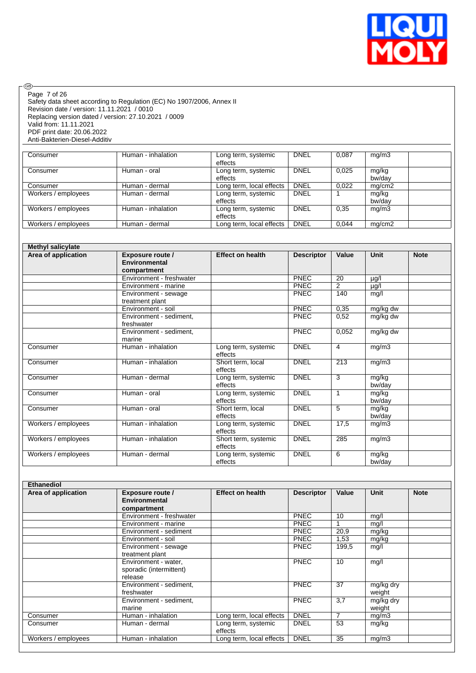

 $\circledcirc$ Page 7 of 26

Safety data sheet according to Regulation (EC) No 1907/2006, Annex II Revision date / version: 11.11.2021 / 0010 Replacing version dated / version: 27.10.2021 / 0009 Valid from: 11.11.2021 PDF print date: 20.06.2022 Anti-Bakterien-Diesel-Additiv

| Consumer            | Human - inhalation | Long term, systemic<br>effects | <b>DNEL</b> | 0.087 | mg/m3           |  |
|---------------------|--------------------|--------------------------------|-------------|-------|-----------------|--|
| Consumer            | Human - oral       | Long term, systemic<br>effects | <b>DNEL</b> | 0,025 | mg/kg<br>bw/dav |  |
| Consumer            | Human - dermal     | Long term, local effects       | <b>DNEL</b> | 0,022 | mq/cm2          |  |
| Workers / employees | Human - dermal     | Long term, systemic<br>effects | <b>DNEL</b> |       | mg/kg<br>bw/dav |  |
| Workers / employees | Human - inhalation | Long term, systemic<br>effects | <b>DNEL</b> | 0.35  | mg/m3           |  |
| Workers / employees | Human - dermal     | Long term, local effects       | <b>DNEL</b> | 0,044 | mq/cm2          |  |

| <b>Methyl salicylate</b> |                                                  |                                 |                   |                |                 |             |
|--------------------------|--------------------------------------------------|---------------------------------|-------------------|----------------|-----------------|-------------|
| Area of application      | Exposure route /<br>Environmental<br>compartment | <b>Effect on health</b>         | <b>Descriptor</b> | Value          | Unit            | <b>Note</b> |
|                          | Environment - freshwater                         |                                 | <b>PNEC</b>       | 20             | µg/l            |             |
|                          | Environment - marine                             |                                 | <b>PNEC</b>       | $\overline{2}$ | $\mu$ g/l       |             |
|                          | Environment - sewage<br>treatment plant          |                                 | <b>PNEC</b>       | 140            | mg/l            |             |
|                          | Environment - soil                               |                                 | <b>PNEC</b>       | 0,35           | mg/kg dw        |             |
|                          | Environment - sediment,<br>freshwater            |                                 | <b>PNEC</b>       | 0,52           | mg/kg dw        |             |
|                          | Environment - sediment,<br>marine                |                                 | <b>PNEC</b>       | 0,052          | mg/kg dw        |             |
| Consumer                 | Human - inhalation                               | Long term, systemic<br>effects  | <b>DNEL</b>       | 4              | mg/m3           |             |
| Consumer                 | Human - inhalation                               | Short term, local<br>effects    | <b>DNEL</b>       | 213            | mg/m3           |             |
| Consumer                 | Human - dermal                                   | Long term, systemic<br>effects  | <b>DNEL</b>       | 3              | mg/kg<br>bw/day |             |
| Consumer                 | Human - oral                                     | Long term, systemic<br>effects  | <b>DNEL</b>       | 1              | mg/kg<br>bw/day |             |
| Consumer                 | Human - oral                                     | Short term, local<br>effects    | <b>DNEL</b>       | 5              | mg/kg<br>bw/day |             |
| Workers / employees      | Human - inhalation                               | Long term, systemic<br>effects  | <b>DNEL</b>       | 17,5           | mg/m3           |             |
| Workers / employees      | Human - inhalation                               | Short term, systemic<br>effects | <b>DNEL</b>       | 285            | mg/m3           |             |
| Workers / employees      | Human - dermal                                   | Long term, systemic<br>effects  | <b>DNEL</b>       | 6              | mg/kg<br>bw/day |             |

| Ethanediol          |                                                            |                                |                   |       |                     |             |
|---------------------|------------------------------------------------------------|--------------------------------|-------------------|-------|---------------------|-------------|
| Area of application | <b>Exposure route /</b><br>Environmental<br>compartment    | <b>Effect on health</b>        | <b>Descriptor</b> | Value | Unit                | <b>Note</b> |
|                     | Environment - freshwater                                   |                                | <b>PNEC</b>       | 10    | mg/l                |             |
|                     | Environment - marine                                       |                                | <b>PNEC</b>       |       | mg/l                |             |
|                     | Environment - sediment                                     |                                | <b>PNEC</b>       | 20,9  | mg/kg               |             |
|                     | Environment - soil                                         |                                | <b>PNEC</b>       | 1,53  | mg/kg               |             |
|                     | Environment - sewage<br>treatment plant                    |                                | <b>PNEC</b>       | 199,5 | mg/l                |             |
|                     | Environment - water,<br>sporadic (intermittent)<br>release |                                | <b>PNEC</b>       | 10    | mg/l                |             |
|                     | Environment - sediment,<br>freshwater                      |                                | <b>PNEC</b>       | 37    | mg/kg dry<br>weight |             |
|                     | Environment - sediment,<br>marine                          |                                | <b>PNEC</b>       | 3,7   | mg/kg dry<br>weight |             |
| Consumer            | Human - inhalation                                         | Long term, local effects       | <b>DNEL</b>       | 7     | mg/m3               |             |
| Consumer            | Human - dermal                                             | Long term, systemic<br>effects | <b>DNEL</b>       | 53    | mg/kg               |             |
| Workers / employees | Human - inhalation                                         | Long term, local effects       | <b>DNEL</b>       | 35    | mg/m3               |             |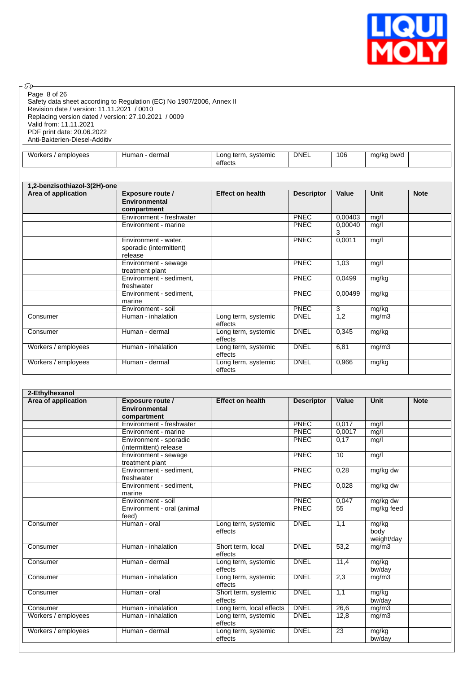

| Page 8 of 26<br>Revision date / version: 11.11.2021 / 0010<br>Replacing version dated / version: 27.10.2021 / 0009<br>Valid from: 11.11.2021<br>PDF print date: 20.06.2022<br>Anti-Bakterien-Diesel-Additiv | Safety data sheet according to Regulation (EC) No 1907/2006, Annex II |                                           |                            |                 |                     |             |
|-------------------------------------------------------------------------------------------------------------------------------------------------------------------------------------------------------------|-----------------------------------------------------------------------|-------------------------------------------|----------------------------|-----------------|---------------------|-------------|
| Workers / employees                                                                                                                                                                                         | Human - dermal                                                        | Long term, systemic<br>effects            | <b>DNEL</b>                | 106             | mg/kg bw/d          |             |
|                                                                                                                                                                                                             |                                                                       |                                           |                            |                 |                     |             |
| 1,2-benzisothiazol-3(2H)-one<br>Area of application                                                                                                                                                         | <b>Exposure route /</b>                                               | <b>Effect on health</b>                   | <b>Descriptor</b>          | Value           | Unit                | <b>Note</b> |
|                                                                                                                                                                                                             | <b>Environmental</b><br>compartment                                   |                                           |                            |                 |                     |             |
|                                                                                                                                                                                                             | Environment - freshwater                                              |                                           | <b>PNEC</b>                | 0.00403         | mg/l                |             |
|                                                                                                                                                                                                             | Environment - marine                                                  |                                           | <b>PNEC</b>                | 0,00040<br>3    | mg/l                |             |
|                                                                                                                                                                                                             | Environment - water,<br>sporadic (intermittent)                       |                                           | <b>PNEC</b>                | 0,0011          | mg/l                |             |
|                                                                                                                                                                                                             | release<br>Environment - sewage                                       |                                           | PNEC                       | 1,03            | mg/l                |             |
|                                                                                                                                                                                                             | treatment plant<br>Environment - sediment,                            |                                           | PNEC                       | 0,0499          | mg/kg               |             |
|                                                                                                                                                                                                             | freshwater<br>Environment - sediment,                                 |                                           | <b>PNEC</b>                | 0.00499         | mg/kg               |             |
|                                                                                                                                                                                                             | marine                                                                |                                           |                            |                 |                     |             |
| Consumer                                                                                                                                                                                                    | Environment - soil<br>Human - inhalation                              | Long term, systemic                       | <b>PNEC</b><br><b>DNEL</b> | 3<br>1,2        | mg/kg<br>mg/m3      |             |
| Consumer                                                                                                                                                                                                    | Human - dermal                                                        | effects<br>Long term, systemic            | <b>DNEL</b>                | 0,345           | mg/kg               |             |
| Workers / employees                                                                                                                                                                                         | Human - inhalation                                                    | effects<br>Long term, systemic            | <b>DNEL</b>                | 6,81            | mg/m3               |             |
| Workers / employees                                                                                                                                                                                         | Human - dermal                                                        | effects<br>Long term, systemic            | <b>DNEL</b>                | 0,966           | mg/kg               |             |
|                                                                                                                                                                                                             |                                                                       | effects                                   |                            |                 |                     |             |
| 2-Ethylhexanol                                                                                                                                                                                              |                                                                       |                                           |                            |                 |                     |             |
| Area of application                                                                                                                                                                                         | Exposure route /<br><b>Environmental</b><br>compartment               | <b>Effect on health</b>                   | <b>Descriptor</b>          | Value           | <b>Unit</b>         | <b>Note</b> |
|                                                                                                                                                                                                             | Environment - freshwater                                              |                                           | <b>PNEC</b>                | 0,017           | mq/l                |             |
|                                                                                                                                                                                                             | Environment - marine                                                  |                                           | <b>PNEC</b>                | 0,0017          | mg/l                |             |
|                                                                                                                                                                                                             | Environment - sporadic<br>(intermittent) release                      |                                           | PNEC                       | 0,17            | mg/l                |             |
|                                                                                                                                                                                                             | Environment - sewage<br>treatment plant                               |                                           | <b>PNEC</b>                | 10 <sup>°</sup> | mg/l                |             |
|                                                                                                                                                                                                             | Environment - sediment,<br>freshwater                                 |                                           | <b>PNEC</b>                | 0,28            | mg/kg dw            |             |
|                                                                                                                                                                                                             | Environment - sediment,<br>marine                                     |                                           | <b>PNEC</b>                | 0,028           | mg/kg dw            |             |
|                                                                                                                                                                                                             | Environment - soil                                                    |                                           | PNEC                       | 0,047           | mg/kg dw            |             |
|                                                                                                                                                                                                             | Environment - oral (animal<br>feed)                                   |                                           | PNEC                       | 55              | mg/kg feed          |             |
| Consumer                                                                                                                                                                                                    | Human - oral                                                          | Long term, systemic<br>effects            | <b>DNEL</b>                | 1,1             | mg/kg<br>body       |             |
| Consumer                                                                                                                                                                                                    | Human - inhalation                                                    | Short term, local                         | <b>DNEL</b>                | 53,2            | weight/day<br>mg/m3 |             |
| Consumer                                                                                                                                                                                                    | Human - dermal                                                        | effects<br>Long term, systemic<br>effects | <b>DNEL</b>                | 11,4            | mg/kg<br>bw/day     |             |
| Consumer                                                                                                                                                                                                    | Human - inhalation                                                    | Long term, systemic<br>effects            | <b>DNEL</b>                | 2,3             | mg/m3               |             |
| Consumer                                                                                                                                                                                                    | Human - oral                                                          | Short term, systemic<br>effects           | <b>DNEL</b>                | 1,1             | mg/kg<br>bw/day     |             |
| Consumer                                                                                                                                                                                                    | Human - inhalation                                                    | Long term, local effects                  | <b>DNEL</b>                | 26,6            | mg/m3               |             |
| Workers / employees                                                                                                                                                                                         | Human - inhalation                                                    | Long term, systemic<br>effects            | <b>DNEL</b>                | 12,8            | mg/m3               |             |
| Workers / employees                                                                                                                                                                                         | Human - dermal                                                        | Long term, systemic                       | <b>DNEL</b>                | 23              | mg/kg               |             |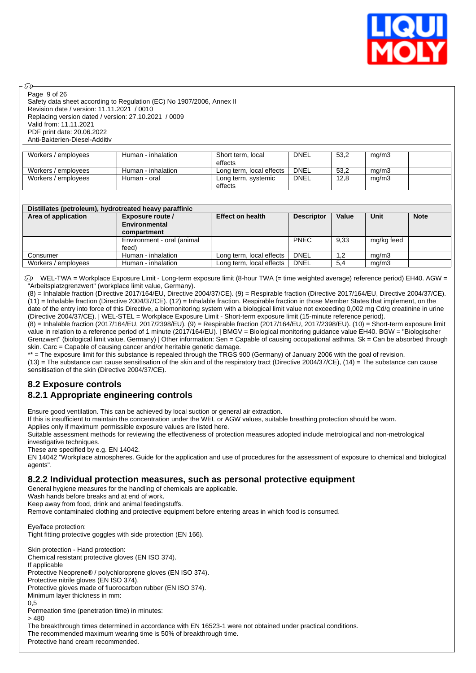

Page 9 of 26

രി

Safety data sheet according to Regulation (EC) No 1907/2006, Annex II Revision date / version: 11.11.2021 / 0010 Replacing version dated / version: 27.10.2021 / 0009 Valid from: 11.11.2021 PDF print date: 20.06.2022 Anti-Bakterien-Diesel-Additiv

| Workers / employees | Human - inhalation | Short term, local        | <b>DNEL</b> | 53,2 | mg/m3 |  |
|---------------------|--------------------|--------------------------|-------------|------|-------|--|
|                     |                    | effects                  |             |      |       |  |
| Workers / employees | Human - inhalation | Long term, local effects | <b>DNEL</b> | 53,2 | mq/m3 |  |
| Workers / employees | Human - oral       | Long term, systemic      | <b>DNEL</b> | 12,8 | mg/m3 |  |
|                     |                    | effects                  |             |      |       |  |

| Distillates (petroleum), hydrotreated heavy paraffinic |                            |                          |                   |       |             |             |  |
|--------------------------------------------------------|----------------------------|--------------------------|-------------------|-------|-------------|-------------|--|
| Area of application                                    | Exposure route /           | <b>Effect on health</b>  | <b>Descriptor</b> | Value | <b>Unit</b> | <b>Note</b> |  |
|                                                        | Environmental              |                          |                   |       |             |             |  |
|                                                        | compartment                |                          |                   |       |             |             |  |
|                                                        | Environment - oral (animal |                          | <b>PNEC</b>       | 9.33  | mg/kg feed  |             |  |
|                                                        | feed)                      |                          |                   |       |             |             |  |
| Consumer                                               | Human - inhalation         | Long term, local effects | <b>DNEL</b>       | 1.2   | ma/m3       |             |  |
| Workers / employees                                    | Human - inhalation         | Long term, local effects | <b>DNEL</b>       | 5,4   | mq/m3       |             |  |

WEL-TWA = Workplace Exposure Limit - Long-term exposure limit (8-hour TWA (= time weighted average) reference period) EH40. AGW = "Arbeitsplatzgrenzwert" (workplace limit value, Germany).

(8) = Inhalable fraction (Directive 2017/164/EU, Directive 2004/37/CE). (9) = Respirable fraction (Directive 2017/164/EU, Directive 2004/37/CE).  $(11)$  = Inhalable fraction (Directive 2004/37/CE). (12) = Inhalable fraction. Respirable fraction in those Member States that implement, on the date of the entry into force of this Directive, a biomonitoring system with a biological limit value not exceeding 0,002 mg Cd/g creatinine in urine (Directive 2004/37/CE). | WEL-STEL = Workplace Exposure Limit - Short-term exposure limit (15-minute reference period).

 $(8)$  = Inhalable fraction (2017/164/EU, 2017/2398/EU). (9) = Respirable fraction (2017/164/EU), 2017/2398/EU). (10) = Short-term exposure limit value in relation to a reference period of 1 minute (2017/164/EU). | BMGV = Biological monitoring guidance value EH40. BGW = "Biologischer Grenzwert" (biological limit value, Germany) | Other information: Sen = Capable of causing occupational asthma. Sk = Can be absorbed through skin. Carc = Capable of causing cancer and/or heritable genetic damage.

\*\* = The exposure limit for this substance is repealed through the TRGS 900 (Germany) of January 2006 with the goal of revision. (13) = The substance can cause sensitisation of the skin and of the respiratory tract (Directive 2004/37/CE), (14) = The substance can cause sensitisation of the skin (Directive 2004/37/CE).

# **8.2 Exposure controls**

# **8.2.1 Appropriate engineering controls**

Ensure good ventilation. This can be achieved by local suction or general air extraction.

If this is insufficient to maintain the concentration under the WEL or AGW values, suitable breathing protection should be worn.

Applies only if maximum permissible exposure values are listed here.

Suitable assessment methods for reviewing the effectiveness of protection measures adopted include metrological and non-metrological investigative techniques.

These are specified by e.g. EN 14042.

EN 14042 "Workplace atmospheres. Guide for the application and use of procedures for the assessment of exposure to chemical and biological agents".

### **8.2.2 Individual protection measures, such as personal protective equipment**

General hygiene measures for the handling of chemicals are applicable.

Wash hands before breaks and at end of work.

Keep away from food, drink and animal feedingstuffs.

Remove contaminated clothing and protective equipment before entering areas in which food is consumed.

Eye/face protection: Tight fitting protective goggles with side protection (EN 166).

Skin protection - Hand protection: Chemical resistant protective gloves (EN ISO 374). If applicable Protective Neoprene® / polychloroprene gloves (EN ISO 374). Protective nitrile gloves (EN ISO 374). Protective gloves made of fluorocarbon rubber (EN ISO 374). Minimum layer thickness in mm: 0,5 Permeation time (penetration time) in minutes:  $> 480$ 

The breakthrough times determined in accordance with EN 16523-1 were not obtained under practical conditions. The recommended maximum wearing time is 50% of breakthrough time. Protective hand cream recommended.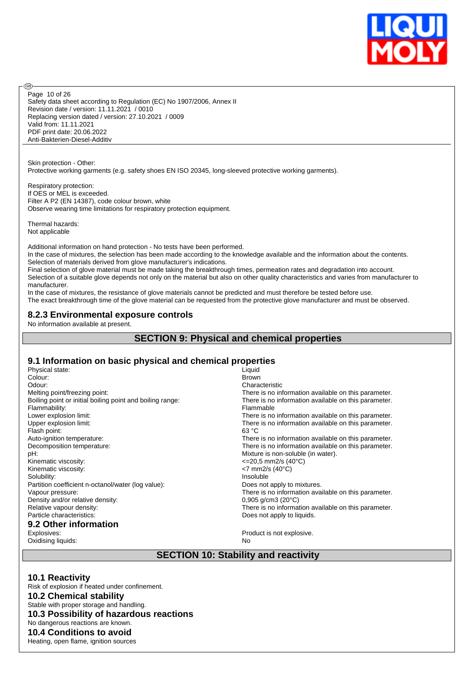

Safety data sheet according to Regulation (EC) No 1907/2006, Annex II Revision date / version: 11.11.2021 / 0010 Replacing version dated / version: 27.10.2021 / 0009 Valid from: 11.11.2021 PDF print date: 20.06.2022 Anti-Bakterien-Diesel-Additiv Page 10 of 26

Skin protection - Other: Protective working garments (e.g. safety shoes EN ISO 20345, long-sleeved protective working garments).

Respiratory protection: If OES or MEL is exceeded. Filter A P2 (EN 14387), code colour brown, white Observe wearing time limitations for respiratory protection equipment.

Thermal hazards: Not applicable

൹

Additional information on hand protection - No tests have been performed.

In the case of mixtures, the selection has been made according to the knowledge available and the information about the contents. Selection of materials derived from glove manufacturer's indications.

Final selection of glove material must be made taking the breakthrough times, permeation rates and degradation into account. Selection of a suitable glove depends not only on the material but also on other quality characteristics and varies from manufacturer to manufacturer.

In the case of mixtures, the resistance of glove materials cannot be predicted and must therefore be tested before use.

The exact breakthrough time of the glove material can be requested from the protective glove manufacturer and must be observed.

#### **8.2.3 Environmental exposure controls**

No information available at present.

### **SECTION 9: Physical and chemical properties**

#### **9.1 Information on basic physical and chemical properties**

| Physical state:                                           | Liquid                                               |
|-----------------------------------------------------------|------------------------------------------------------|
| Colour:                                                   | <b>Brown</b>                                         |
| Odour:                                                    | Characteristic                                       |
| Melting point/freezing point:                             | There is no information available on this parameter. |
| Boiling point or initial boiling point and boiling range: | There is no information available on this parameter. |
| Flammability:                                             | Flammable                                            |
| Lower explosion limit:                                    | There is no information available on this parameter. |
| Upper explosion limit:                                    | There is no information available on this parameter. |
| Flash point:                                              | 63 °C                                                |
| Auto-ignition temperature:                                | There is no information available on this parameter. |
| Decomposition temperature:                                | There is no information available on this parameter. |
| pH:                                                       | Mixture is non-soluble (in water).                   |
| Kinematic viscosity:                                      | $\leq$ 20.5 mm2/s (40°C)                             |
| Kinematic viscosity:                                      | $<$ 7 mm2/s (40 $^{\circ}$ C)                        |
| Solubility:                                               | Insoluble                                            |
| Partition coefficient n-octanol/water (log value):        | Does not apply to mixtures.                          |
| Vapour pressure:                                          | There is no information available on this parameter. |
| Density and/or relative density:                          | $0,905$ g/cm3 (20 $^{\circ}$ C)                      |
| Relative vapour density:                                  | There is no information available on this parameter. |
| Particle characteristics:                                 | Does not apply to liquids.                           |
| 9.2 Other information                                     |                                                      |
| Explosives:                                               | Product is not explosive.                            |

Oxidising liquids: No

# **SECTION 10: Stability and reactivity**

#### **10.1 Reactivity**

Risk of explosion if heated under confinement. **10.2 Chemical stability** Stable with proper storage and handling. **10.3 Possibility of hazardous reactions** No dangerous reactions are known. **10.4 Conditions to avoid** Heating, open flame, ignition sources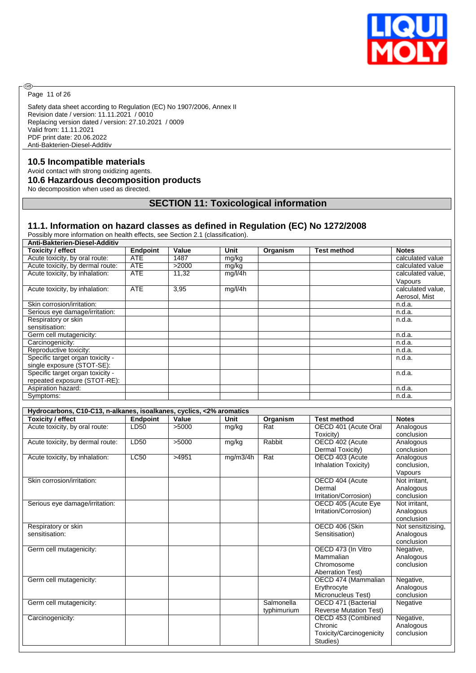

Page 11 of 26

◉

Safety data sheet according to Regulation (EC) No 1907/2006, Annex II Revision date / version: 11.11.2021 / 0010 Replacing version dated / version: 27.10.2021 / 0009 Valid from: 11.11.2021 PDF print date: 20.06.2022 Anti-Bakterien-Diesel-Additiv

#### **10.5 Incompatible materials**

Avoid contact with strong oxidizing agents.

#### **10.6 Hazardous decomposition products**

No decomposition when used as directed.

# **SECTION 11: Toxicological information**

#### **11.1. Information on hazard classes as defined in Regulation (EC) No 1272/2008**

Possibly more information on health effects, see Section 2.1 (classification).

| Anti-Bakterien-Diesel-Additiv    |                 |       |         |          |                    |                   |
|----------------------------------|-----------------|-------|---------|----------|--------------------|-------------------|
| Toxicity / effect                | <b>Endpoint</b> | Value | Unit    | Organism | <b>Test method</b> | <b>Notes</b>      |
| Acute toxicity, by oral route:   | <b>ATE</b>      | 1487  | mg/kg   |          |                    | calculated value  |
| Acute toxicity, by dermal route: | <b>ATE</b>      | >2000 | mg/kg   |          |                    | calculated value  |
| Acute toxicity, by inhalation:   | <b>ATE</b>      | 11,32 | mq/l/4h |          |                    | calculated value. |
|                                  |                 |       |         |          |                    | Vapours           |
| Acute toxicity, by inhalation:   | <b>ATE</b>      | 3,95  | mg/l/4h |          |                    | calculated value. |
|                                  |                 |       |         |          |                    | Aerosol, Mist     |
| Skin corrosion/irritation:       |                 |       |         |          |                    | n.d.a.            |
| Serious eye damage/irritation:   |                 |       |         |          |                    | n.d.a.            |
| Respiratory or skin              |                 |       |         |          |                    | n.d.a.            |
| sensitisation:                   |                 |       |         |          |                    |                   |
| Germ cell mutagenicity:          |                 |       |         |          |                    | n.d.a.            |
| Carcinogenicity:                 |                 |       |         |          |                    | n.d.a.            |
| Reproductive toxicity:           |                 |       |         |          |                    | n.d.a.            |
| Specific target organ toxicity - |                 |       |         |          |                    | n.d.a.            |
| single exposure (STOT-SE):       |                 |       |         |          |                    |                   |
| Specific target organ toxicity - |                 |       |         |          |                    | n.d.a.            |
| repeated exposure (STOT-RE):     |                 |       |         |          |                    |                   |
| Aspiration hazard:               |                 |       |         |          |                    | n.d.a.            |
| Symptoms:                        |                 |       |         |          |                    | n.d.a.            |

| Hydrocarbons, C10-C13, n-alkanes, isoalkanes, cyclics, <2% aromatics |                 |       |          |             |                                      |                         |  |  |
|----------------------------------------------------------------------|-----------------|-------|----------|-------------|--------------------------------------|-------------------------|--|--|
| Toxicity / effect                                                    | <b>Endpoint</b> | Value | Unit     | Organism    | <b>Test method</b>                   | <b>Notes</b>            |  |  |
| Acute toxicity, by oral route:                                       | LD50            | >5000 | mg/kg    | Rat         | OECD 401 (Acute Oral                 | Analogous               |  |  |
|                                                                      |                 |       |          |             | Toxicity)                            | conclusion              |  |  |
| Acute toxicity, by dermal route:                                     | LD50            | >5000 | mg/kg    | Rabbit      | OECD 402 (Acute                      | Analogous               |  |  |
|                                                                      |                 |       |          |             | Dermal Toxicity)                     | conclusion              |  |  |
| Acute toxicity, by inhalation:                                       | LC50            | >4951 | mg/m3/4h | Rat         | OECD 403 (Acute                      | Analogous               |  |  |
|                                                                      |                 |       |          |             | Inhalation Toxicity)                 | conclusion,             |  |  |
|                                                                      |                 |       |          |             |                                      | Vapours                 |  |  |
| Skin corrosion/irritation:                                           |                 |       |          |             | OECD 404 (Acute                      | Not irritant,           |  |  |
|                                                                      |                 |       |          |             | Dermal                               | Analogous               |  |  |
|                                                                      |                 |       |          |             | Irritation/Corrosion)                | conclusion              |  |  |
| Serious eye damage/irritation:                                       |                 |       |          |             | OECD 405 (Acute Eye                  | Not irritant.           |  |  |
|                                                                      |                 |       |          |             | Irritation/Corrosion)                | Analogous               |  |  |
|                                                                      |                 |       |          |             |                                      | conclusion              |  |  |
| Respiratory or skin                                                  |                 |       |          |             | OECD 406 (Skin                       | Not sensitizising,      |  |  |
| sensitisation:                                                       |                 |       |          |             | Sensitisation)                       | Analogous               |  |  |
|                                                                      |                 |       |          |             |                                      | conclusion              |  |  |
| Germ cell mutagenicity:                                              |                 |       |          |             | OECD 473 (In Vitro                   | Negative,               |  |  |
|                                                                      |                 |       |          |             | Mammalian                            | Analogous               |  |  |
|                                                                      |                 |       |          |             | Chromosome                           | conclusion              |  |  |
|                                                                      |                 |       |          |             | <b>Aberration Test)</b>              |                         |  |  |
| Germ cell mutagenicity:                                              |                 |       |          |             | OECD 474 (Mammalian                  | Negative,               |  |  |
|                                                                      |                 |       |          |             | Erythrocyte                          | Analogous               |  |  |
|                                                                      |                 |       |          | Salmonella  | Micronucleus Test)                   | conclusion              |  |  |
| Germ cell mutagenicity:                                              |                 |       |          |             | OECD 471 (Bacterial                  | Negative                |  |  |
|                                                                      |                 |       |          | typhimurium | <b>Reverse Mutation Test)</b>        |                         |  |  |
| Carcinogenicity:                                                     |                 |       |          |             | OECD 453 (Combined<br>Chronic        | Negative,               |  |  |
|                                                                      |                 |       |          |             |                                      | Analogous<br>conclusion |  |  |
|                                                                      |                 |       |          |             | Toxicity/Carcinogenicity<br>Studies) |                         |  |  |
|                                                                      |                 |       |          |             |                                      |                         |  |  |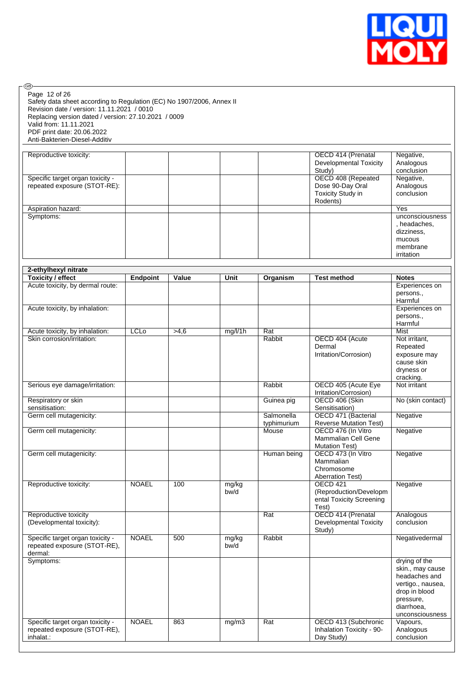

 $\circledcirc$ Page 12 of 26

Safety data sheet according to Regulation (EC) No 1907/2006, Annex II Revision date / version: 11.11.2021 / 0010 Replacing version dated / version: 27.10.2021 / 0009 Valid from: 11.11.2021 PDF print date: 20.06.2022 Anti-Bakterien-Diesel-Additiv

| Reproductive toxicity:           |  | OECD 414 (Prenatal       | Negative,       |
|----------------------------------|--|--------------------------|-----------------|
|                                  |  | Developmental Toxicity   | Analogous       |
|                                  |  | Study)                   | conclusion      |
| Specific target organ toxicity - |  | OECD 408 (Repeated       | Negative,       |
| repeated exposure (STOT-RE):     |  | Dose 90-Day Oral         | Analogous       |
|                                  |  | <b>Toxicity Study in</b> | conclusion      |
|                                  |  | Rodents)                 |                 |
| Aspiration hazard:               |  |                          | Yes             |
| Symptoms:                        |  |                          | unconsciousness |
|                                  |  |                          | , headaches,    |
|                                  |  |                          | dizziness,      |
|                                  |  |                          | mucous          |
|                                  |  |                          | membrane        |
|                                  |  |                          | irritation      |

| 2-ethylhexyl nitrate             |                 |       |         |                  |                               |                   |
|----------------------------------|-----------------|-------|---------|------------------|-------------------------------|-------------------|
| <b>Toxicity / effect</b>         | <b>Endpoint</b> | Value | Unit    | Organism         | <b>Test method</b>            | <b>Notes</b>      |
| Acute toxicity, by dermal route: |                 |       |         |                  |                               | Experiences on    |
|                                  |                 |       |         |                  |                               | persons.,         |
|                                  |                 |       |         |                  |                               | Harmful           |
| Acute toxicity, by inhalation:   |                 |       |         |                  |                               | Experiences on    |
|                                  |                 |       |         |                  |                               | persons.,         |
|                                  |                 |       |         |                  |                               | Harmful           |
| Acute toxicity, by inhalation:   | <b>LCLo</b>     | >4,6  | mg/l/1h | Rat              |                               | Mist              |
| Skin corrosion/irritation:       |                 |       |         | Rabbit           | OECD 404 (Acute               | Not irritant,     |
|                                  |                 |       |         |                  | Dermal                        | Repeated          |
|                                  |                 |       |         |                  | Irritation/Corrosion)         | exposure may      |
|                                  |                 |       |         |                  |                               | cause skin        |
|                                  |                 |       |         |                  |                               | dryness or        |
|                                  |                 |       |         |                  |                               | cracking.         |
| Serious eye damage/irritation:   |                 |       |         | Rabbit           | OECD 405 (Acute Eye           | Not irritant      |
|                                  |                 |       |         |                  | Irritation/Corrosion)         |                   |
| Respiratory or skin              |                 |       |         | Guinea pig       | OECD 406 (Skin                | No (skin contact) |
| sensitisation:                   |                 |       |         |                  | Sensitisation)                |                   |
| Germ cell mutagenicity:          |                 |       |         | Salmonella       | OECD 471 (Bacterial           | Negative          |
|                                  |                 |       |         | typhimurium      | <b>Reverse Mutation Test)</b> |                   |
| Germ cell mutagenicity:          |                 |       |         | Mouse            | OECD 476 (In Vitro            | Negative          |
|                                  |                 |       |         |                  | <b>Mammalian Cell Gene</b>    |                   |
|                                  |                 |       |         |                  | <b>Mutation Test)</b>         |                   |
| Germ cell mutagenicity:          |                 |       |         | Human being      | OECD 473 (In Vitro            | Negative          |
|                                  |                 |       |         |                  | Mammalian                     |                   |
|                                  |                 |       |         |                  | Chromosome                    |                   |
|                                  |                 |       |         |                  | <b>Aberration Test)</b>       |                   |
| Reproductive toxicity:           | <b>NOAEL</b>    | 100   | mg/kg   |                  | <b>OECD 421</b>               | Negative          |
|                                  |                 |       | bw/d    |                  | (Reproduction/Developm        |                   |
|                                  |                 |       |         |                  | ental Toxicity Screening      |                   |
|                                  |                 |       |         |                  | Test)                         |                   |
| Reproductive toxicity            |                 |       |         | Rat              | OECD 414 (Prenatal            | Analogous         |
| (Developmental toxicity):        |                 |       |         |                  | <b>Developmental Toxicity</b> | conclusion        |
|                                  |                 |       |         |                  | Study)                        |                   |
| Specific target organ toxicity - | <b>NOAEL</b>    | 500   | mg/kg   | Rabbit           |                               | Negativedermal    |
| repeated exposure (STOT-RE),     |                 |       | bw/d    |                  |                               |                   |
| dermal:                          |                 |       |         |                  |                               |                   |
| Symptoms:                        |                 |       |         |                  |                               | drying of the     |
|                                  |                 |       |         |                  |                               | skin., may cause  |
|                                  |                 |       |         |                  |                               | headaches and     |
|                                  |                 |       |         |                  |                               | vertigo., nausea, |
|                                  |                 |       |         |                  |                               | drop in blood     |
|                                  |                 |       |         |                  |                               | pressure,         |
|                                  |                 |       |         |                  |                               | diarrhoea,        |
|                                  |                 |       |         |                  |                               | unconsciousness   |
| Specific target organ toxicity - | <b>NOAEL</b>    | 863   | mg/m3   | $\overline{Rat}$ | OECD 413 (Subchronic          | Vapours,          |
| repeated exposure (STOT-RE),     |                 |       |         |                  | Inhalation Toxicity - 90-     | Analogous         |
| inhalat.:                        |                 |       |         |                  | Day Study)                    | conclusion        |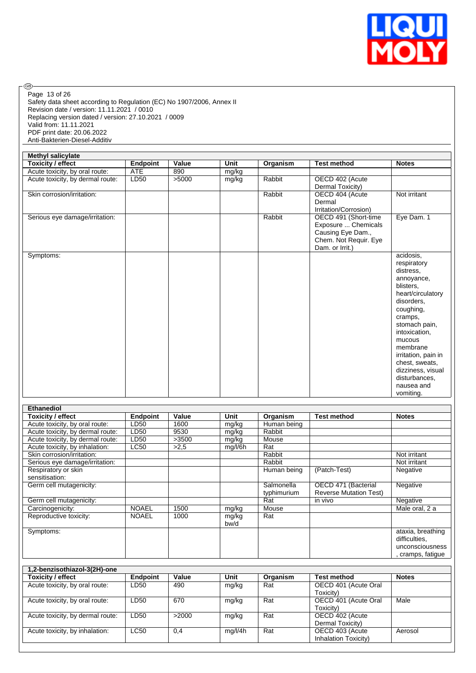

 $\circledcirc$ Page 13 of 26

Safety data sheet according to Regulation (EC) No 1907/2006, Annex II Revision date / version: 11.11.2021 / 0010 Replacing version dated / version: 27.10.2021 / 0009 Valid from: 11.11.2021 PDF print date: 20.06.2022 Anti-Bakterien-Diesel-Additiv

| <b>Methyl salicylate</b>         |            |       |       |          |                       |                          |  |
|----------------------------------|------------|-------|-------|----------|-----------------------|--------------------------|--|
| <b>Toxicity / effect</b>         | Endpoint   | Value | Unit  | Organism | <b>Test method</b>    | <b>Notes</b>             |  |
| Acute toxicity, by oral route:   | <b>ATE</b> | 890   | mg/kg |          |                       |                          |  |
| Acute toxicity, by dermal route: | LD50       | >5000 | mg/kg | Rabbit   | OECD 402 (Acute       |                          |  |
|                                  |            |       |       |          | Dermal Toxicity)      |                          |  |
| Skin corrosion/irritation:       |            |       |       | Rabbit   | OECD 404 (Acute       | Not irritant             |  |
|                                  |            |       |       |          | Dermal                |                          |  |
|                                  |            |       |       |          | Irritation/Corrosion) |                          |  |
| Serious eye damage/irritation:   |            |       |       | Rabbit   | OECD 491 (Short-time  | Eye Dam. 1               |  |
|                                  |            |       |       |          | Exposure  Chemicals   |                          |  |
|                                  |            |       |       |          | Causing Eye Dam.,     |                          |  |
|                                  |            |       |       |          | Chem. Not Requir. Eye |                          |  |
|                                  |            |       |       |          | Dam. or Irrit.)       |                          |  |
| Symptoms:                        |            |       |       |          |                       | acidosis,                |  |
|                                  |            |       |       |          |                       | respiratory<br>distress. |  |
|                                  |            |       |       |          |                       | annoyance,               |  |
|                                  |            |       |       |          |                       | blisters.                |  |
|                                  |            |       |       |          |                       | heart/circulatory        |  |
|                                  |            |       |       |          |                       | disorders,               |  |
|                                  |            |       |       |          |                       | coughing,                |  |
|                                  |            |       |       |          |                       | cramps,                  |  |
|                                  |            |       |       |          |                       | stomach pain,            |  |
|                                  |            |       |       |          |                       | intoxication,            |  |
|                                  |            |       |       |          |                       | mucous                   |  |
|                                  |            |       |       |          |                       | membrane                 |  |
|                                  |            |       |       |          |                       | irritation, pain in      |  |
|                                  |            |       |       |          |                       | chest, sweats,           |  |
|                                  |            |       |       |          |                       | dizziness, visual        |  |
|                                  |            |       |       |          |                       | disturbances,            |  |
|                                  |            |       |       |          |                       | nausea and               |  |
|                                  |            |       |       |          |                       | vomiting.                |  |

| Ethanediol                       |                 |       |         |             |                               |                   |
|----------------------------------|-----------------|-------|---------|-------------|-------------------------------|-------------------|
| Toxicity / effect                | <b>Endpoint</b> | Value | Unit    | Organism    | <b>Test method</b>            | <b>Notes</b>      |
| Acute toxicity, by oral route:   | LD50            | 1600  | mg/kg   | Human being |                               |                   |
| Acute toxicity, by dermal route: | LD50            | 9530  | mg/kg   | Rabbit      |                               |                   |
| Acute toxicity, by dermal route: | LD50            | >3500 | mg/kg   | Mouse       |                               |                   |
| Acute toxicity, by inhalation:   | <b>LC50</b>     | >2.5  | mg/l/6h | Rat         |                               |                   |
| Skin corrosion/irritation:       |                 |       |         | Rabbit      |                               | Not irritant      |
| Serious eye damage/irritation:   |                 |       |         | Rabbit      |                               | Not irritant      |
| Respiratory or skin              |                 |       |         | Human being | (Patch-Test)                  | Negative          |
| sensitisation:                   |                 |       |         |             |                               |                   |
| Germ cell mutagenicity:          |                 |       |         | Salmonella  | OECD 471 (Bacterial           | Negative          |
|                                  |                 |       |         | typhimurium | <b>Reverse Mutation Test)</b> |                   |
| Germ cell mutagenicity:          |                 |       |         | Rat         | in vivo                       | Negative          |
| Carcinogenicity:                 | <b>NOAEL</b>    | 1500  | mg/kg   | Mouse       |                               | Male oral, 2 a    |
| Reproductive toxicity:           | <b>NOAEL</b>    | 1000  | mg/kg   | Rat         |                               |                   |
|                                  |                 |       | bw/d    |             |                               |                   |
| Symptoms:                        |                 |       |         |             |                               | ataxia, breathing |
|                                  |                 |       |         |             |                               | difficulties,     |
|                                  |                 |       |         |             |                               | unconsciousness   |
|                                  |                 |       |         |             |                               | cramps, fatique   |

| 1,2-benzisothiazol-3(2H)-one     |             |       |         |          |                      |              |  |
|----------------------------------|-------------|-------|---------|----------|----------------------|--------------|--|
| Toxicity / effect                | Endpoint    | Value | Unit    | Organism | <b>Test method</b>   | <b>Notes</b> |  |
| Acute toxicity, by oral route:   | LD50        | 490   | mg/kg   | Rat      | OECD 401 (Acute Oral |              |  |
|                                  |             |       |         |          | Toxicity)            |              |  |
| Acute toxicity, by oral route:   | LD50        | 670   | mg/kg   | Rat      | OECD 401 (Acute Oral | Male         |  |
|                                  |             |       |         |          | Toxicity)            |              |  |
| Acute toxicity, by dermal route: | LD50        | >2000 | mg/kg   | Rat      | OECD 402 (Acute      |              |  |
|                                  |             |       |         |          | Dermal Toxicity)     |              |  |
| Acute toxicity, by inhalation:   | <b>LC50</b> | 0,4   | mg/l/4h | Rat      | OECD 403 (Acute      | Aerosol      |  |
|                                  |             |       |         |          | Inhalation Toxicity) |              |  |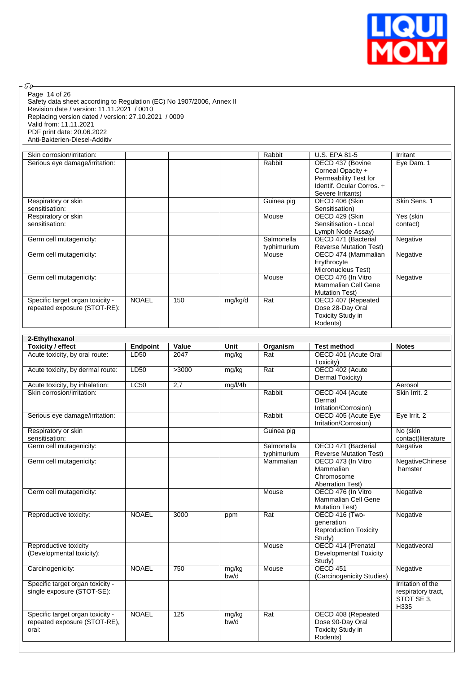

Safety data sheet according to Regulation (EC) No 1907/2006, Annex II Revision date / version: 11.11.2021 / 0010 Replacing version dated / version: 27.10.2021 / 0009 Valid from: 11.11.2021 PDF print date: 20.06.2022 Anti-Bakterien-Diesel-Additiv Page 14 of 26

| Skin corrosion/irritation:       |              |     |         | Rabbit      | <b>U.S. EPA 81-5</b>          | Irritant     |
|----------------------------------|--------------|-----|---------|-------------|-------------------------------|--------------|
| Serious eye damage/irritation:   |              |     |         | Rabbit      | OECD 437 (Bovine              | Eye Dam. 1   |
|                                  |              |     |         |             | Corneal Opacity +             |              |
|                                  |              |     |         |             | Permeability Test for         |              |
|                                  |              |     |         |             | Identif. Ocular Corros. +     |              |
|                                  |              |     |         |             | Severe Irritants)             |              |
| Respiratory or skin              |              |     |         | Guinea pig  | OECD 406 (Skin                | Skin Sens, 1 |
| sensitisation:                   |              |     |         |             | Sensitisation)                |              |
| Respiratory or skin              |              |     |         | Mouse       | OECD 429 (Skin                | Yes (skin    |
| sensitisation:                   |              |     |         |             | Sensitisation - Local         | contact)     |
|                                  |              |     |         |             | Lymph Node Assay)             |              |
| Germ cell mutagenicity:          |              |     |         | Salmonella  | OECD 471 (Bacterial           | Negative     |
|                                  |              |     |         | typhimurium | <b>Reverse Mutation Test)</b> |              |
| Germ cell mutagenicity:          |              |     |         | Mouse       | OECD 474 (Mammalian           | Negative     |
|                                  |              |     |         |             | Erythrocyte                   |              |
|                                  |              |     |         |             | Micronucleus Test)            |              |
| Germ cell mutagenicity:          |              |     |         | Mouse       | OECD 476 (In Vitro            | Negative     |
|                                  |              |     |         |             | <b>Mammalian Cell Gene</b>    |              |
|                                  |              |     |         |             | <b>Mutation Test)</b>         |              |
| Specific target organ toxicity - | <b>NOAEL</b> | 150 | mg/kg/d | Rat         | OECD 407 (Repeated            |              |
| repeated exposure (STOT-RE):     |              |     |         |             | Dose 28-Day Oral              |              |
|                                  |              |     |         |             | <b>Toxicity Study in</b>      |              |
|                                  |              |     |         |             | Rodents)                      |              |

| 2-Ethylhexanol                                                            |                 |       |               |                           |                                                                          |                                                               |
|---------------------------------------------------------------------------|-----------------|-------|---------------|---------------------------|--------------------------------------------------------------------------|---------------------------------------------------------------|
| <b>Toxicity / effect</b>                                                  | <b>Endpoint</b> | Value | Unit          | Organism                  | <b>Test method</b>                                                       | <b>Notes</b>                                                  |
| Acute toxicity, by oral route:                                            | LD50            | 2047  | mg/kg         | Rat                       | OECD 401 (Acute Oral<br>Toxicity)                                        |                                                               |
| Acute toxicity, by dermal route:                                          | LD50            | >3000 | mg/kg         | $\overline{Rat}$          | OECD 402 (Acute<br>Dermal Toxicity)                                      |                                                               |
| Acute toxicity, by inhalation:                                            | <b>LC50</b>     | 2,7   | mg/l/4h       |                           |                                                                          | Aerosol                                                       |
| Skin corrosion/irritation:                                                |                 |       |               | Rabbit                    | OECD 404 (Acute<br>Dermal<br>Irritation/Corrosion)                       | Skin Irrit. 2                                                 |
| Serious eye damage/irritation:                                            |                 |       |               | Rabbit                    | OECD 405 (Acute Eye<br>Irritation/Corrosion)                             | Eye Irrit. 2                                                  |
| Respiratory or skin<br>sensitisation:                                     |                 |       |               | Guinea pig                |                                                                          | No (skin<br>contact)literature                                |
| Germ cell mutagenicity:                                                   |                 |       |               | Salmonella<br>typhimurium | OECD 471 (Bacterial<br><b>Reverse Mutation Test)</b>                     | Negative                                                      |
| Germ cell mutagenicity:                                                   |                 |       |               | Mammalian                 | OECD 473 (In Vitro<br>Mammalian<br>Chromosome<br><b>Aberration Test)</b> | NegativeChinese<br>hamster                                    |
| Germ cell mutagenicity:                                                   |                 |       |               | Mouse                     | OECD 476 (In Vitro<br>Mammalian Cell Gene<br><b>Mutation Test)</b>       | Negative                                                      |
| Reproductive toxicity:                                                    | <b>NOAEL</b>    | 3000  | ppm           | $\overline{Rat}$          | OECD 416 (Two-<br>generation<br><b>Reproduction Toxicity</b><br>Study)   | Negative                                                      |
| Reproductive toxicity<br>(Developmental toxicity):                        |                 |       |               | Mouse                     | OECD 414 (Prenatal<br><b>Developmental Toxicity</b><br>Study)            | Negativeoral                                                  |
| Carcinogenicity:                                                          | <b>NOAEL</b>    | 750   | mg/kg<br>bw/d | Mouse                     | <b>OECD 451</b><br>(Carcinogenicity Studies)                             | Negative                                                      |
| Specific target organ toxicity -<br>single exposure (STOT-SE):            |                 |       |               |                           |                                                                          | Irritation of the<br>respiratory tract,<br>STOT SE 3,<br>H335 |
| Specific target organ toxicity -<br>repeated exposure (STOT-RE),<br>oral: | <b>NOAEL</b>    | 125   | mg/kg<br>bw/d | Rat                       | OECD 408 (Repeated<br>Dose 90-Day Oral<br>Toxicity Study in<br>Rodents)  |                                                               |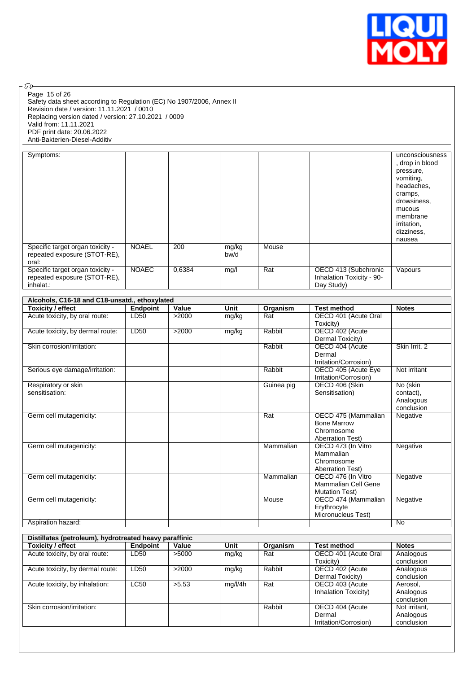

| (GB).<br>Page 15 of 26<br>Safety data sheet according to Regulation (EC) No 1907/2006, Annex II<br>Revision date / version: 11.11.2021 / 0010<br>Replacing version dated / version: 27.10.2021 / 0009<br>Valid from: 11.11.2021<br>PDF print date: 20.06.2022<br>Anti-Bakterien-Diesel-Additiv |                 |        |               |            |                                                                                    |                                                                                                                                                         |
|------------------------------------------------------------------------------------------------------------------------------------------------------------------------------------------------------------------------------------------------------------------------------------------------|-----------------|--------|---------------|------------|------------------------------------------------------------------------------------|---------------------------------------------------------------------------------------------------------------------------------------------------------|
| Symptoms:                                                                                                                                                                                                                                                                                      |                 |        |               |            |                                                                                    | unconsciousness<br>, drop in blood<br>pressure,<br>vomiting,<br>headaches,<br>cramps,<br>drowsiness,<br>mucous<br>membrane<br>irritation,<br>dizziness, |
| Specific target organ toxicity -<br>repeated exposure (STOT-RE),                                                                                                                                                                                                                               | <b>NOAEL</b>    | 200    | mg/kg<br>bw/d | Mouse      |                                                                                    | nausea                                                                                                                                                  |
| oral:<br>Specific target organ toxicity -<br>repeated exposure (STOT-RE),<br>inhalat.:                                                                                                                                                                                                         | <b>NOAEC</b>    | 0,6384 | mg/l          | Rat        | OECD 413 (Subchronic<br>Inhalation Toxicity - 90-<br>Day Study)                    | Vapours                                                                                                                                                 |
|                                                                                                                                                                                                                                                                                                |                 |        |               |            |                                                                                    |                                                                                                                                                         |
| Alcohols, C16-18 and C18-unsatd., ethoxylated<br><b>Toxicity / effect</b>                                                                                                                                                                                                                      | <b>Endpoint</b> | Value  | Unit          | Organism   | <b>Test method</b>                                                                 | <b>Notes</b>                                                                                                                                            |
| Acute toxicity, by oral route:                                                                                                                                                                                                                                                                 | LD50            | >2000  | mg/kg         | Rat        | OECD 401 (Acute Oral<br>Toxicity)                                                  |                                                                                                                                                         |
| Acute toxicity, by dermal route:                                                                                                                                                                                                                                                               | LD50            | >2000  | mg/kg         | Rabbit     | OECD 402 (Acute<br>Dermal Toxicity)                                                |                                                                                                                                                         |
| Skin corrosion/irritation:                                                                                                                                                                                                                                                                     |                 |        |               | Rabbit     | OECD 404 (Acute<br>Dermal<br>Irritation/Corrosion)                                 | Skin Irrit. 2                                                                                                                                           |
| Serious eye damage/irritation:                                                                                                                                                                                                                                                                 |                 |        |               | Rabbit     | OECD 405 (Acute Eye<br>Irritation/Corrosion)                                       | Not irritant                                                                                                                                            |
| Respiratory or skin<br>sensitisation:                                                                                                                                                                                                                                                          |                 |        |               | Guinea pig | OECD 406 (Skin<br>Sensitisation)                                                   | No (skin<br>contact),<br>Analogous<br>conclusion                                                                                                        |
| Germ cell mutagenicity:                                                                                                                                                                                                                                                                        |                 |        |               | Rat        | OECD 475 (Mammalian<br><b>Bone Marrow</b><br>Chromosome<br><b>Aberration Test)</b> | Negative                                                                                                                                                |
| Germ cell mutagenicity:                                                                                                                                                                                                                                                                        |                 |        |               | Mammalian  | OECD 473 (In Vitro<br>Mammalian<br>Chromosome<br><b>Aberration Test)</b>           | Negative                                                                                                                                                |
| Germ cell mutagenicity:                                                                                                                                                                                                                                                                        |                 |        |               | Mammalian  | OECD 476 (In Vitro<br>Mammalian Cell Gene<br><b>Mutation Test)</b>                 | Negative                                                                                                                                                |
| Germ cell mutagenicity:                                                                                                                                                                                                                                                                        |                 |        |               | Mouse      | OECD 474 (Mammalian<br>Erythrocyte<br>Micronucleus Test)                           | Negative                                                                                                                                                |
| Aspiration hazard:                                                                                                                                                                                                                                                                             |                 |        |               |            |                                                                                    | No                                                                                                                                                      |
| Distillates (petroleum), hydrotreated heavy paraffinic                                                                                                                                                                                                                                         |                 |        |               |            |                                                                                    |                                                                                                                                                         |
| <b>Toxicity / effect</b>                                                                                                                                                                                                                                                                       | <b>Endpoint</b> | Value  | Unit          | Organism   | <b>Test method</b>                                                                 | <b>Notes</b>                                                                                                                                            |
| Acute toxicity, by oral route:                                                                                                                                                                                                                                                                 | LD50            | >5000  | mg/kg         | Rat        | OECD 401 (Acute Oral<br>Toxicity)                                                  | Analogous<br>conclusion                                                                                                                                 |
| Acute toxicity, by dermal route:                                                                                                                                                                                                                                                               | LD50            | >2000  | mg/kg         | Rabbit     | OECD 402 (Acute<br>Dermal Toxicity)                                                | Analogous<br>conclusion                                                                                                                                 |
| Acute toxicity, by inhalation:                                                                                                                                                                                                                                                                 | LC50            | >5,53  | mg/l/4h       | Rat        | OECD 403 (Acute<br>Inhalation Toxicity)                                            | Aerosol,<br>Analogous<br>conclusion                                                                                                                     |
| Skin corrosion/irritation:                                                                                                                                                                                                                                                                     |                 |        |               | Rabbit     | OECD 404 (Acute<br>Dermal                                                          | Not irritant,<br>Analogous                                                                                                                              |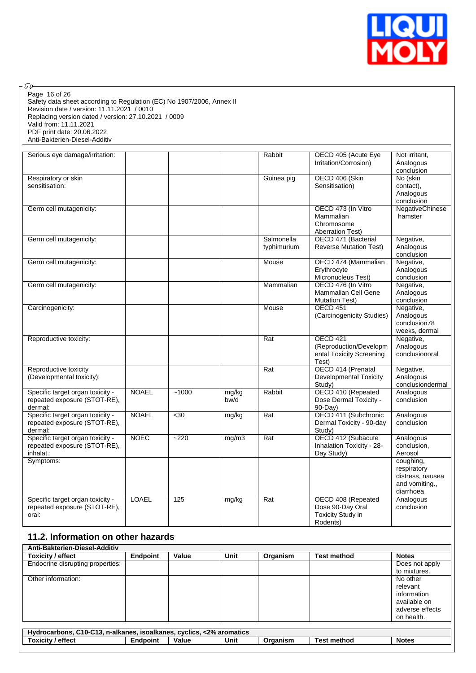

Safety data sheet according to Regulation (EC) No 1907/2006, Annex II Revision date / version: 11.11.2021 / 0010 Replacing version dated / version: 27.10.2021 / 0009 Valid from: 11.11.2021 PDF print date: 20.06.2022 Anti-Bakterien-Diesel-Additiv Page 16 of 26

 $\circledcirc$ 

| Serious eye damage/irritation:   |              |         |       | Rabbit      | OECD 405 (Acute Eye           | Not irritant,          |
|----------------------------------|--------------|---------|-------|-------------|-------------------------------|------------------------|
|                                  |              |         |       |             | Irritation/Corrosion)         | Analogous              |
|                                  |              |         |       |             |                               | conclusion             |
| Respiratory or skin              |              |         |       | Guinea pig  | OECD 406 (Skin                | No (skin               |
| sensitisation:                   |              |         |       |             | Sensitisation)                | contact),              |
|                                  |              |         |       |             |                               | Analogous              |
|                                  |              |         |       |             |                               | conclusion             |
| Germ cell mutagenicity:          |              |         |       |             | OECD 473 (In Vitro            | <b>NegativeChinese</b> |
|                                  |              |         |       |             | Mammalian                     | hamster                |
|                                  |              |         |       |             | Chromosome                    |                        |
|                                  |              |         |       |             | <b>Aberration Test)</b>       |                        |
| Germ cell mutagenicity:          |              |         |       | Salmonella  | OECD 471 (Bacterial           | Negative,              |
|                                  |              |         |       | typhimurium | <b>Reverse Mutation Test)</b> | Analogous              |
|                                  |              |         |       |             |                               | conclusion             |
| Germ cell mutagenicity:          |              |         |       | Mouse       | OECD 474 (Mammalian           | Negative,              |
|                                  |              |         |       |             | Erythrocyte                   | Analogous              |
|                                  |              |         |       |             | Micronucleus Test)            | conclusion             |
| Germ cell mutagenicity:          |              |         |       | Mammalian   | OECD 476 (In Vitro            | Negative,              |
|                                  |              |         |       |             | Mammalian Cell Gene           | Analogous              |
|                                  |              |         |       |             | <b>Mutation Test)</b>         | conclusion             |
| Carcinogenicity:                 |              |         |       | Mouse       | <b>OECD 451</b>               | Negative,              |
|                                  |              |         |       |             | (Carcinogenicity Studies)     | Analogous              |
|                                  |              |         |       |             |                               | conclusion78           |
|                                  |              |         |       |             |                               | weeks, dermal          |
|                                  |              |         |       |             | OECD 421                      |                        |
| Reproductive toxicity:           |              |         |       | Rat         |                               | Negative,              |
|                                  |              |         |       |             | (Reproduction/Developm        | Analogous              |
|                                  |              |         |       |             | ental Toxicity Screening      | conclusionoral         |
|                                  |              |         |       |             | Test)                         |                        |
| Reproductive toxicity            |              |         |       | Rat         | OECD 414 (Prenatal            | Negative,              |
| (Developmental toxicity):        |              |         |       |             | <b>Developmental Toxicity</b> | Analogous              |
|                                  |              |         |       |             | Study)                        | conclusiondermal       |
| Specific target organ toxicity - | <b>NOAEL</b> | $-1000$ | mg/kg | Rabbit      | OECD 410 (Repeated            | Analogous              |
| repeated exposure (STOT-RE),     |              |         | bw/d  |             | Dose Dermal Toxicity -        | conclusion             |
| dermal:                          |              |         |       |             | $90-Day$                      |                        |
| Specific target organ toxicity - | <b>NOAEL</b> | $30$    | mg/kg | Rat         | OECD 411 (Subchronic          | Analogous              |
| repeated exposure (STOT-RE),     |              |         |       |             | Dermal Toxicity - 90-day      | conclusion             |
| dermal:                          |              |         |       |             | Study)                        |                        |
| Specific target organ toxicity - | <b>NOEC</b>  | $-220$  | mg/m3 | Rat         | OECD 412 (Subacute            | Analogous              |
| repeated exposure (STOT-RE),     |              |         |       |             | Inhalation Toxicity - 28-     | conclusion,            |
| inhalat.:                        |              |         |       |             | Day Study)                    | Aerosol                |
| Symptoms:                        |              |         |       |             |                               | coughing,              |
|                                  |              |         |       |             |                               | respiratory            |
|                                  |              |         |       |             |                               | distress, nausea       |
|                                  |              |         |       |             |                               | and vomiting.,         |
|                                  |              |         |       |             |                               | diarrhoea              |
| Specific target organ toxicity - | <b>LOAEL</b> | 125     | mg/kg | Rat         | OECD 408 (Repeated            | Analogous              |
| repeated exposure (STOT-RE),     |              |         |       |             | Dose 90-Day Oral              | conclusion             |
| oral:                            |              |         |       |             | Toxicity Study in             |                        |
|                                  |              |         |       |             | Rodents)                      |                        |

## **11.2. Information on other hazards**

| Anti-Bakterien-Diesel-Additiv                                        |          |       |      |          |                    |                 |  |  |
|----------------------------------------------------------------------|----------|-------|------|----------|--------------------|-----------------|--|--|
| Toxicity / effect                                                    | Endpoint | Value | Unit | Organism | <b>Test method</b> | <b>Notes</b>    |  |  |
| Endocrine disrupting properties:                                     |          |       |      |          |                    | Does not apply  |  |  |
|                                                                      |          |       |      |          |                    | to mixtures.    |  |  |
| Other information:                                                   |          |       |      |          |                    | No other        |  |  |
|                                                                      |          |       |      |          |                    | relevant        |  |  |
|                                                                      |          |       |      |          |                    | information     |  |  |
|                                                                      |          |       |      |          |                    | available on    |  |  |
|                                                                      |          |       |      |          |                    | adverse effects |  |  |
|                                                                      |          |       |      |          |                    | on health.      |  |  |
|                                                                      |          |       |      |          |                    |                 |  |  |
| Hydrocarbons, C10-C13, n-alkanes, isoalkanes, cyclics, <2% aromatics |          |       |      |          |                    |                 |  |  |
| <b>Toxicity / effect</b>                                             | Endpoint | Value | Unit | Organism | <b>Test method</b> | <b>Notes</b>    |  |  |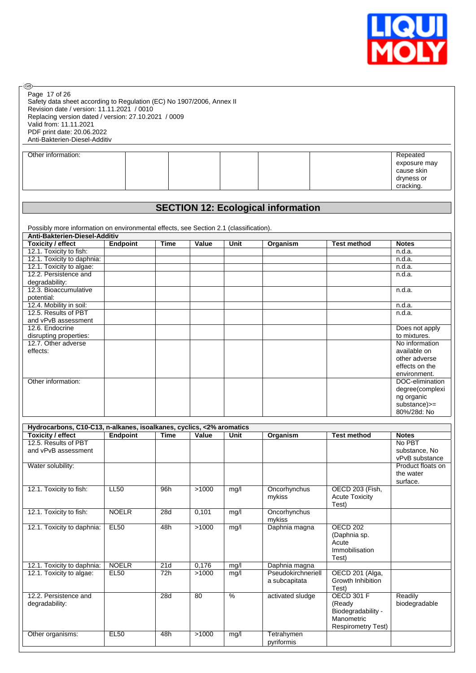

degree(complexi ng organic substance)>= 80%/28d: No

| ®<br>Page 17 of 26<br>Safety data sheet according to Regulation (EC) No 1907/2006, Annex II<br>Revision date / version: 11.11.2021 / 0010<br>Replacing version dated / version: 27.10.2021 / 0009<br>Valid from: 11.11.2021<br>PDF print date: 20.06.2022<br>Anti-Bakterien-Diesel-Additiv |                 |             |       |      |                                           |                    |                                                                   |
|--------------------------------------------------------------------------------------------------------------------------------------------------------------------------------------------------------------------------------------------------------------------------------------------|-----------------|-------------|-------|------|-------------------------------------------|--------------------|-------------------------------------------------------------------|
| Other information:                                                                                                                                                                                                                                                                         |                 |             |       |      |                                           |                    | Repeated<br>exposure may<br>cause skin<br>dryness or<br>cracking. |
|                                                                                                                                                                                                                                                                                            |                 |             |       |      |                                           |                    |                                                                   |
|                                                                                                                                                                                                                                                                                            |                 |             |       |      | <b>SECTION 12: Ecological information</b> |                    |                                                                   |
| Possibly more information on environmental effects, see Section 2.1 (classification).<br>Anti-Bakterien-Diesel-Additiv<br><b>Toxicity / effect</b>                                                                                                                                         | <b>Endpoint</b> | <b>Time</b> | Value | Unit | Organism                                  | <b>Test method</b> | <b>Notes</b>                                                      |
| 12.1. Toxicity to fish:                                                                                                                                                                                                                                                                    |                 |             |       |      |                                           |                    | n.d.a.                                                            |
| 12.1. Toxicity to daphnia:                                                                                                                                                                                                                                                                 |                 |             |       |      |                                           |                    | n.d.a.                                                            |
| 12.1. Toxicity to algae:                                                                                                                                                                                                                                                                   |                 |             |       |      |                                           |                    | n.d.a.                                                            |
| 12.2. Persistence and<br>degradability:                                                                                                                                                                                                                                                    |                 |             |       |      |                                           |                    | n.d.a.                                                            |
| 12.3. Bioaccumulative<br>potential:                                                                                                                                                                                                                                                        |                 |             |       |      |                                           |                    | n.d.a.                                                            |
| 12.4. Mobility in soil:                                                                                                                                                                                                                                                                    |                 |             |       |      |                                           |                    | n.d.a.                                                            |
|                                                                                                                                                                                                                                                                                            |                 |             |       |      |                                           |                    | n.d.a.                                                            |
|                                                                                                                                                                                                                                                                                            |                 |             |       |      |                                           |                    |                                                                   |
|                                                                                                                                                                                                                                                                                            |                 |             |       |      |                                           |                    | Does not apply                                                    |
|                                                                                                                                                                                                                                                                                            |                 |             |       |      |                                           |                    | to mixtures.                                                      |
|                                                                                                                                                                                                                                                                                            |                 |             |       |      |                                           |                    |                                                                   |
|                                                                                                                                                                                                                                                                                            |                 |             |       |      |                                           |                    | available on                                                      |
|                                                                                                                                                                                                                                                                                            |                 |             |       |      |                                           |                    | No information<br>other adverse                                   |
| 12.5. Results of PBT<br>and vPvB assessment<br>12.6. Endocrine<br>disrupting properties:<br>12.7. Other adverse<br>effects:                                                                                                                                                                |                 |             |       |      |                                           |                    | effects on the                                                    |
| Other information:                                                                                                                                                                                                                                                                         |                 |             |       |      |                                           |                    | environment.<br>DOC-elimination                                   |

| Toxicity / effect          | <b>Endpoint</b> | <b>Time</b> | Value | Unit          | Organism           | <b>Test method</b>             | <b>Notes</b>      |
|----------------------------|-----------------|-------------|-------|---------------|--------------------|--------------------------------|-------------------|
| 12.5. Results of PBT       |                 |             |       |               |                    |                                | No PBT            |
| and vPvB assessment        |                 |             |       |               |                    |                                | substance, No     |
|                            |                 |             |       |               |                    |                                | vPvB substance    |
| Water solubility:          |                 |             |       |               |                    |                                | Product floats on |
|                            |                 |             |       |               |                    |                                | the water         |
|                            |                 |             |       |               |                    |                                | surface.          |
| 12.1. Toxicity to fish:    | <b>LL50</b>     | 96h         | >1000 | mg/l          | Oncorhynchus       | OECD 203 (Fish,                |                   |
|                            |                 |             |       |               | mykiss             | <b>Acute Toxicity</b><br>Test) |                   |
| 12.1. Toxicity to fish:    | <b>NOELR</b>    | 28d         | 0,101 | mg/l          | Oncorhynchus       |                                |                   |
|                            |                 |             |       |               | mykiss             |                                |                   |
| 12.1. Toxicity to daphnia: | <b>EL50</b>     | 48h         | >1000 | mg/l          | Daphnia magna      | <b>OECD 202</b>                |                   |
|                            |                 |             |       |               |                    | (Daphnia sp.                   |                   |
|                            |                 |             |       |               |                    | Acute                          |                   |
|                            |                 |             |       |               |                    | Immobilisation                 |                   |
| 12.1. Toxicity to daphnia: | <b>NOELR</b>    | 21d         | 0,176 |               | Daphnia magna      | Test)                          |                   |
| 12.1. Toxicity to algae:   | <b>EL50</b>     | 72h         | >1000 | mg/l<br>mg/l  | Pseudokirchneriell | OECD 201 (Alga,                |                   |
|                            |                 |             |       |               | a subcapitata      | Growth Inhibition              |                   |
|                            |                 |             |       |               |                    | Test)                          |                   |
| 12.2. Persistence and      |                 | 28d         | 80    | $\frac{0}{6}$ | activated sludge   | <b>OECD 301 F</b>              | Readily           |
| degradability:             |                 |             |       |               |                    | (Ready                         | biodegradable     |
|                            |                 |             |       |               |                    | Biodegradability -             |                   |
|                            |                 |             |       |               |                    | Manometric                     |                   |
|                            |                 |             |       |               |                    | <b>Respirometry Test)</b>      |                   |
| Other organisms:           | <b>EL50</b>     | 48h         | >1000 | mg/l          | Tetrahymen         |                                |                   |
|                            |                 |             |       |               | pyriformis         |                                |                   |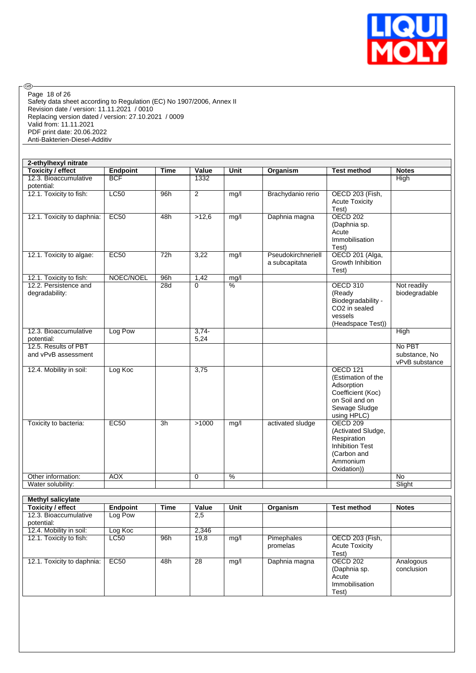

 $\circledcirc$ Page 18 of 26

Safety data sheet according to Regulation (EC) No 1907/2006, Annex II Revision date / version: 11.11.2021 / 0010 Replacing version dated / version: 27.10.2021 / 0009 Valid from: 11.11.2021 PDF print date: 20.06.2022 Anti-Bakterien-Diesel-Additiv

| 2-ethylhexyl nitrate                        |                 |                 |                 |                 |                                     |                                                                                                                            |                                           |
|---------------------------------------------|-----------------|-----------------|-----------------|-----------------|-------------------------------------|----------------------------------------------------------------------------------------------------------------------------|-------------------------------------------|
| <b>Toxicity / effect</b>                    | <b>Endpoint</b> | <b>Time</b>     | Value           | <b>Unit</b>     | Organism                            | <b>Test method</b>                                                                                                         | <b>Notes</b>                              |
| 12.3. Bioaccumulative<br>potential:         | <b>BCF</b>      |                 | 1332            |                 |                                     |                                                                                                                            | High                                      |
| 12.1. Toxicity to fish:                     | <b>LC50</b>     | 96h             | $\overline{2}$  | mg/l            | Brachydanio rerio                   | OECD 203 (Fish,<br><b>Acute Toxicity</b><br>Test)                                                                          |                                           |
| 12.1. Toxicity to daphnia:                  | EC50            | 48h             | >12,6           | mg/l            | Daphnia magna                       | <b>OECD 202</b><br>(Daphnia sp.<br>Acute<br>Immobilisation<br>Test)                                                        |                                           |
| 12.1. Toxicity to algae:                    | <b>EC50</b>     | 72h             | 3,22            | mg/l            | Pseudokirchneriell<br>a subcapitata | OECD 201 (Alga,<br>Growth Inhibition<br>Test)                                                                              |                                           |
| 12.1. Toxicity to fish:                     | NOEC/NOEL       | 96h             | 1,42            | mg/l            |                                     |                                                                                                                            |                                           |
| 12.2. Persistence and<br>degradability:     |                 | 28d             | $\Omega$        | $\overline{\%}$ |                                     | <b>OECD 310</b><br>(Ready<br>Biodegradability -<br>CO <sub>2</sub> in sealed<br>vessels<br>(Headspace Test))               | Not readily<br>biodegradable              |
| 12.3. Bioaccumulative<br>potential:         | Log Pow         |                 | $3,74-$<br>5,24 |                 |                                     |                                                                                                                            | <b>High</b>                               |
| 12.5. Results of PBT<br>and vPvB assessment |                 |                 |                 |                 |                                     |                                                                                                                            | No PBT<br>substance, No<br>vPvB substance |
| 12.4. Mobility in soil:                     | Log Koc         |                 | 3,75            |                 |                                     | <b>OECD 121</b><br>(Estimation of the<br>Adsorption<br>Coefficient (Koc)<br>on Soil and on<br>Sewage Sludge<br>using HPLC) |                                           |
| Toxicity to bacteria:                       | EC50            | $\overline{3h}$ | >1000           | mg/l            | activated sludge                    | <b>OECD 209</b><br>(Activated Sludge,<br>Respiration<br><b>Inhibition Test</b><br>(Carbon and<br>Ammonium<br>Oxidation))   |                                           |
| Other information:                          | <b>AOX</b>      |                 | 0               | $\frac{9}{6}$   |                                     |                                                                                                                            | <b>No</b>                                 |
| Water solubility:                           |                 |                 |                 |                 |                                     |                                                                                                                            | Slight                                    |

| <b>Methyl salicylate</b>   |                 |      |       |      |               |                       |              |
|----------------------------|-----------------|------|-------|------|---------------|-----------------------|--------------|
| <b>Toxicity / effect</b>   | <b>Endpoint</b> | Time | Value | Unit | Organism      | <b>Test method</b>    | <b>Notes</b> |
| 12.3. Bioaccumulative      | Log Pow         |      | 2,5   |      |               |                       |              |
| potential:                 |                 |      |       |      |               |                       |              |
| 12.4. Mobility in soil:    | Log Koc         |      | 2,346 |      |               |                       |              |
| 12.1. Toxicity to fish:    | LC50            | 96h  | 19,8  | mg/l | Pimephales    | OECD 203 (Fish,       |              |
|                            |                 |      |       |      | promelas      | <b>Acute Toxicity</b> |              |
|                            |                 |      |       |      |               | Test)                 |              |
| 12.1. Toxicity to daphnia: | EC50            | 48h  | 28    | mq/l | Daphnia magna | OECD 202              | Analogous    |
|                            |                 |      |       |      |               | (Daphnia sp.          | conclusion   |
|                            |                 |      |       |      |               | Acute                 |              |
|                            |                 |      |       |      |               | Immobilisation        |              |
|                            |                 |      |       |      |               | Test)                 |              |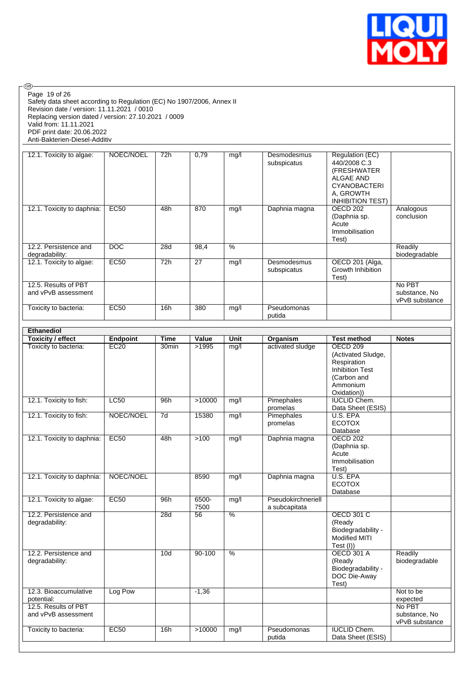

Safety data sheet according to Regulation (EC) No 1907/2006, Annex II Revision date / version: 11.11.2021 / 0010 Replacing version dated / version: 27.10.2021 / 0009 Valid from: 11.11.2021 PDF print date: 20.06.2022 Anti-Bakterien-Diesel-Additiv Page 19 of 26

| 12.1. Toxicity to algae:                    | NOEC/NOEL   | 72h | 0,79 | mg/l | Desmodesmus<br>subspicatus | Regulation (EC)<br>440/2008 C.3<br>(FRESHWATER<br>ALGAE AND<br><b>CYANOBACTERI</b><br>A, GROWTH<br><b>INHIBITION TEST)</b> |                                           |
|---------------------------------------------|-------------|-----|------|------|----------------------------|----------------------------------------------------------------------------------------------------------------------------|-------------------------------------------|
| 12.1. Toxicity to daphnia:                  | <b>EC50</b> | 48h | 870  | mg/l | Daphnia magna              | OECD 202<br>(Daphnia sp.<br>Acute<br>Immobilisation<br>Test)                                                               | Analogous<br>conclusion                   |
| 12.2. Persistence and<br>degradability:     | <b>DOC</b>  | 28d | 98,4 | %    |                            |                                                                                                                            | Readily<br>biodegradable                  |
| 12.1. Toxicity to algae:                    | EC50        | 72h | 27   | mg/l | Desmodesmus<br>subspicatus | OECD 201 (Alga,<br>Growth Inhibition<br>Test)                                                                              |                                           |
| 12.5. Results of PBT<br>and vPvB assessment |             |     |      |      |                            |                                                                                                                            | No PBT<br>substance, No<br>vPvB substance |
| Toxicity to bacteria:                       | <b>EC50</b> | 16h | 380  | mg/l | Pseudomonas<br>putida      |                                                                                                                            |                                           |

| Ethanediol                                  |                 |                   |               |               |                                     |                                                                                                                          |                                           |
|---------------------------------------------|-----------------|-------------------|---------------|---------------|-------------------------------------|--------------------------------------------------------------------------------------------------------------------------|-------------------------------------------|
| <b>Toxicity / effect</b>                    | <b>Endpoint</b> | <b>Time</b>       | Value         | Unit          | Organism                            | <b>Test method</b>                                                                                                       | <b>Notes</b>                              |
| Toxicity to bacteria:                       | EC20            | 30 <sub>min</sub> | >1995         | mg/l          | activated sludge                    | <b>OECD 209</b><br>(Activated Sludge,<br>Respiration<br><b>Inhibition Test</b><br>(Carbon and<br>Ammonium<br>Oxidation)) |                                           |
| 12.1. Toxicity to fish:                     | LC50            | 96h               | >10000        | mq/l          | Pimephales<br>promelas              | <b>IUCLID Chem.</b><br>Data Sheet (ESIS)                                                                                 |                                           |
| 12.1. Toxicity to fish:                     | NOEC/NOEL       | $\overline{7d}$   | 15380         | mg/l          | Pimephales<br>promelas              | U.S. EPA<br><b>ECOTOX</b><br>Database                                                                                    |                                           |
| 12.1. Toxicity to daphnia:                  | EC50            | 48h               | >100          | mg/l          | Daphnia magna                       | OECD 202<br>(Daphnia sp.<br>Acute<br>Immobilisation<br>Test)                                                             |                                           |
| 12.1. Toxicity to daphnia:                  | NOEC/NOEL       |                   | 8590          | mg/l          | Daphnia magna                       | U.S. EPA<br><b>ECOTOX</b><br>Database                                                                                    |                                           |
| 12.1. Toxicity to algae:                    | EC50            | 96h               | 6500-<br>7500 | mg/l          | Pseudokirchneriell<br>a subcapitata |                                                                                                                          |                                           |
| 12.2. Persistence and<br>degradability:     |                 | 28d               | 56            | $\frac{0}{6}$ |                                     | <b>OECD 301 C</b><br>(Ready<br>Biodegradability -<br><b>Modified MITI</b><br>Test (I))                                   |                                           |
| 12.2. Persistence and<br>degradability:     |                 | 10 <sub>d</sub>   | $90 - 100$    | $\frac{9}{6}$ |                                     | <b>OECD 301 A</b><br>(Ready<br>Biodegradability -<br>DOC Die-Away<br>Test)                                               | Readily<br>biodegradable                  |
| 12.3. Bioaccumulative<br>potential:         | Log Pow         |                   | $-1,36$       |               |                                     |                                                                                                                          | Not to be<br>expected                     |
| 12.5. Results of PBT<br>and vPvB assessment |                 |                   |               |               |                                     |                                                                                                                          | No PBT<br>substance, No<br>vPvB substance |
| Toxicity to bacteria:                       | EC50            | 16h               | >10000        | mg/l          | Pseudomonas<br>putida               | <b>IUCLID Chem.</b><br>Data Sheet (ESIS)                                                                                 |                                           |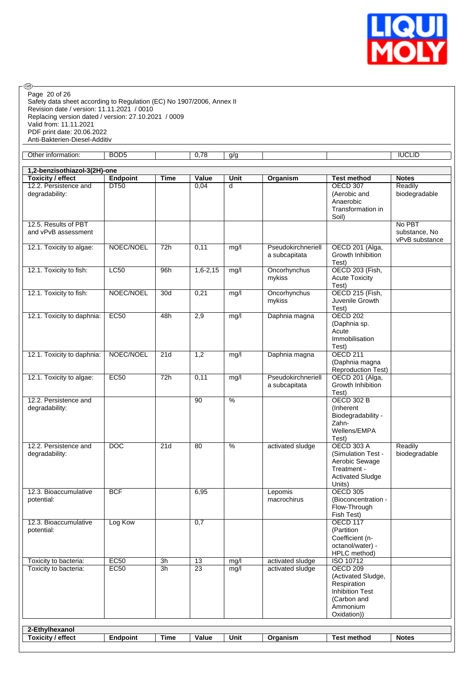

Safety data sheet according to Regulation (EC) No 1907/2006, Annex II Revision date / version: 11.11.2021 / 0010 Replacing version dated / version: 27.10.2021 / 0009 Valid from: 11.11.2021 PDF print date: 20.06.2022 Anti-Bakterien-Diesel-Additiv Page 20 of 26

| Other information:                          | BOD <sub>5</sub> |                  | 0,78            | g/g           |                                     |                                                                                                                          | <b>IUCLID</b>                             |
|---------------------------------------------|------------------|------------------|-----------------|---------------|-------------------------------------|--------------------------------------------------------------------------------------------------------------------------|-------------------------------------------|
| 1,2-benzisothiazol-3(2H)-one                |                  |                  |                 |               |                                     |                                                                                                                          |                                           |
| <b>Toxicity / effect</b>                    | <b>Endpoint</b>  | <b>Time</b>      | Value           | Unit          | Organism                            | <b>Test method</b>                                                                                                       | <b>Notes</b>                              |
| 12.2. Persistence and<br>degradability:     | <b>DT50</b>      |                  | 0,04            | d             |                                     | <b>OECD 307</b><br>(Aerobic and<br>Anaerobic<br>Transformation in<br>Soil)                                               | Readily<br>biodegradable                  |
| 12.5. Results of PBT<br>and vPvB assessment |                  |                  |                 |               |                                     |                                                                                                                          | No PBT<br>substance, No<br>vPvB substance |
| 12.1. Toxicity to algae:                    | NOEC/NOEL        | 72h              | 0,11            | mg/l          | Pseudokirchneriell<br>a subcapitata | OECD 201 (Alga,<br>Growth Inhibition<br>Test)                                                                            |                                           |
| 12.1. Toxicity to fish:                     | <b>LC50</b>      | 96h              | $1,6 - 2,15$    | mg/l          | Oncorhynchus<br>mykiss              | OECD 203 (Fish,<br><b>Acute Toxicity</b><br>Test)                                                                        |                                           |
| 12.1. Toxicity to fish:                     | NOEC/NOEL        | 30d              | 0,21            | mg/l          | Oncorhynchus<br>mykiss              | OECD 215 (Fish,<br>Juvenile Growth<br>Test)                                                                              |                                           |
| 12.1. Toxicity to daphnia:                  | <b>EC50</b>      | 48h              | 2,9             | mg/l          | Daphnia magna                       | <b>OECD 202</b><br>(Daphnia sp.<br>Acute<br>Immobilisation<br>Test)                                                      |                                           |
| 12.1. Toxicity to daphnia:                  | NOEC/NOEL        | $\overline{21d}$ | 1,2             | mg/l          | Daphnia magna                       | <b>OECD 211</b><br>(Daphnia magna<br><b>Reproduction Test)</b>                                                           |                                           |
| 12.1. Toxicity to algae:                    | EC50             | 72h              | 0,11            | mg/l          | Pseudokirchneriell<br>a subcapitata | OECD 201 (Alga,<br>Growth Inhibition<br>Test)                                                                            |                                           |
| 12.2. Persistence and<br>degradability:     |                  |                  | $\overline{90}$ | $\frac{0}{6}$ |                                     | <b>OECD 302 B</b><br>(Inherent<br>Biodegradability -<br>Zahn-<br>Wellens/EMPA<br>Test)                                   |                                           |
| 12.2. Persistence and<br>degradability:     | <b>DOC</b>       | 21d              | 80              | $\frac{9}{6}$ | activated sludge                    | <b>OECD 303 A</b><br>(Simulation Test -<br>Aerobic Sewage<br>Treatment -<br><b>Activated Sludge</b><br>Units)            | Readily<br>biodegradable                  |
| 12.3. Bioaccumulative<br>potential:         | <b>BCF</b>       |                  | 6,95            |               | Lepomis<br>macrochirus              | <b>OECD 305</b><br>(Bioconcentration -<br>Flow-Through<br>Fish Test)                                                     |                                           |
| 12.3. Bioaccumulative<br>potential:         | Log Kow          |                  | 0,7             |               |                                     | <b>OECD 117</b><br>(Partition<br>Coefficient (n-<br>octanol/water) -<br>HPLC method)                                     |                                           |
| Toxicity to bacteria:                       | EC50             | 3h               | 13              | mg/l          | activated sludge                    | ISO 10712                                                                                                                |                                           |
| Toxicity to bacteria:                       | EC50             | 3h               | $\overline{23}$ | mg/l          | activated sludge                    | <b>OECD 209</b><br>(Activated Sludge,<br>Respiration<br><b>Inhibition Test</b><br>(Carbon and<br>Ammonium<br>Oxidation)) |                                           |
| 2-Ethylhexanol                              |                  |                  |                 |               |                                     |                                                                                                                          |                                           |
| <b>Toxicity / effect</b>                    | <b>Endpoint</b>  | <b>Time</b>      | Value           | Unit          | Organism                            | <b>Test method</b>                                                                                                       | <b>Notes</b>                              |
|                                             |                  |                  |                 |               |                                     |                                                                                                                          |                                           |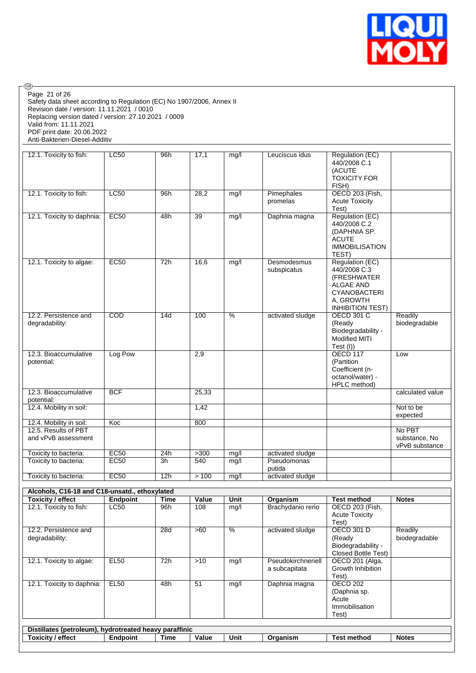

Safety data sheet according to Regulation (EC) No 1907/2006, Annex II Revision date / version: 11.11.2021 / 0010 Replacing version dated / version: 27.10.2021 / 0009 Valid from: 11.11.2021 PDF print date: 20.06.2022 Anti-Bakterien-Diesel-Additiv Page 21 of 26

| 12.1. Toxicity to fish:                     | LC50        | 96h             | 17,1            | mg/l          | Leuciscus idus             | Regulation (EC)<br>440/2008 C.1<br>(ACUTE<br><b>TOXICITY FOR</b><br>FISH)                                                         |                                           |
|---------------------------------------------|-------------|-----------------|-----------------|---------------|----------------------------|-----------------------------------------------------------------------------------------------------------------------------------|-------------------------------------------|
| 12.1. Toxicity to fish:                     | LC50        | 96h             | 28,2            | mg/l          | Pimephales<br>promelas     | <b>OECD 203 (Fish,</b><br><b>Acute Toxicity</b><br>Test)                                                                          |                                           |
| 12.1. Toxicity to daphnia:                  | EC50        | 48h             | $\overline{39}$ | mg/l          | Daphnia magna              | Regulation (EC)<br>440/2008 C.2<br>(DAPHNIA SP.<br><b>ACUTE</b><br><b>IMMOBILISATION</b><br>TEST)                                 |                                           |
| 12.1. Toxicity to algae:                    | EC50        | 72h             | 16,6            | mg/l          | Desmodesmus<br>subspicatus | Regulation (EC)<br>440/2008 C.3<br>(FRESHWATER<br><b>ALGAE AND</b><br><b>CYANOBACTERI</b><br>A, GROWTH<br><b>INHIBITION TEST)</b> |                                           |
| 12.2. Persistence and<br>degradability:     | COD         | 14d             | 100             | $\frac{9}{6}$ | activated sludge           | <b>OECD 301 C</b><br>(Ready<br>Biodegradability -<br>Modified MITI<br>Test (I))                                                   | Readily<br>biodegradable                  |
| 12.3. Bioaccumulative<br>potential:         | Log Pow     |                 | 2,9             |               |                            | <b>OECD 117</b><br>(Partition<br>Coefficient (n-<br>octanol/water) -<br>HPLC method)                                              | Low                                       |
| 12.3. Bioaccumulative<br>potential:         | <b>BCF</b>  |                 | 25,33           |               |                            |                                                                                                                                   | calculated value                          |
| 12.4. Mobility in soil:                     |             |                 | 1,42            |               |                            |                                                                                                                                   | Not to be<br>expected                     |
| 12.4. Mobility in soil:                     | Koc         |                 | 800             |               |                            |                                                                                                                                   |                                           |
| 12.5. Results of PBT<br>and vPvB assessment |             |                 |                 |               |                            |                                                                                                                                   | No PBT<br>substance. No<br>vPvB substance |
| Toxicity to bacteria:                       | <b>EC50</b> | 24h             | $>300$          | mg/l          | activated sludge           |                                                                                                                                   |                                           |
| Toxicity to bacteria:                       | EC50        | $\overline{3h}$ | 540             | mg/l          | Pseudomonas<br>putida      |                                                                                                                                   |                                           |
| Toxicity to bacteria:                       | <b>EC50</b> | 12h             | >100            | mg/l          | activated sludge           |                                                                                                                                   |                                           |

| Toxicity / effect                                      | Endpoint        | <b>Time</b> | Value | Unit        | Organism           | Test method           | <b>Notes</b>  |
|--------------------------------------------------------|-----------------|-------------|-------|-------------|--------------------|-----------------------|---------------|
| 12.1. Toxicity to fish:                                | LC50            | 96h         | 108   | mg/l        | Brachydanio rerio  | OECD 203 (Fish,       |               |
|                                                        |                 |             |       |             |                    | <b>Acute Toxicity</b> |               |
|                                                        |                 |             |       |             |                    | Test)                 |               |
| 12.2. Persistence and                                  |                 | 28d         | >60   | $\%$        | activated sludge   | <b>OECD 301 D</b>     | Readily       |
| degradability:                                         |                 |             |       |             |                    | (Ready                | biodegradable |
|                                                        |                 |             |       |             |                    | Biodegradability -    |               |
|                                                        |                 |             |       |             |                    | Closed Bottle Test)   |               |
| 12.1. Toxicity to algae:                               | <b>EL50</b>     | 72h         | >10   | mg/l        | Pseudokirchneriell | OECD 201 (Alga,       |               |
|                                                        |                 |             |       |             | a subcapitata      | Growth Inhibition     |               |
|                                                        |                 |             |       |             |                    | Test).                |               |
| 12.1. Toxicity to daphnia:                             | <b>EL50</b>     | 48h         | 51    | mg/l        | Daphnia magna      | OECD 202              |               |
|                                                        |                 |             |       |             |                    | (Daphnia sp.          |               |
|                                                        |                 |             |       |             |                    | Acute                 |               |
|                                                        |                 |             |       |             |                    | Immobilisation        |               |
|                                                        |                 |             |       |             |                    | Test)                 |               |
|                                                        |                 |             |       |             |                    |                       |               |
| Distillates (petroleum), hydrotreated heavy paraffinic |                 |             |       |             |                    |                       |               |
| Toxicity / effect                                      | <b>Endpoint</b> | Time        | Value | <b>Unit</b> | Organism           | <b>Test method</b>    | <b>Notes</b>  |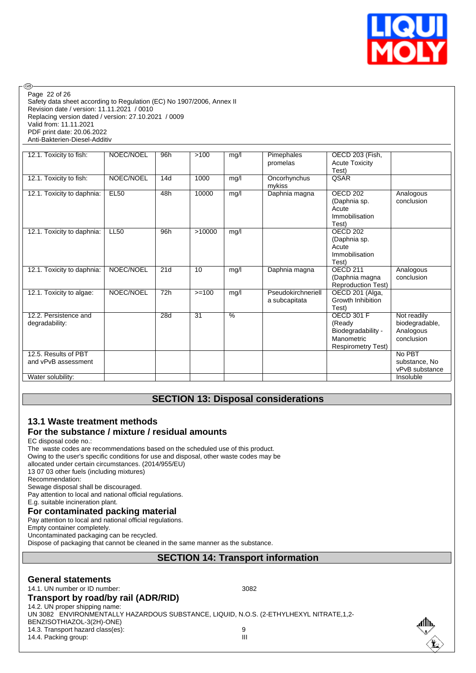

Page 22 of 26

**®** 

Safety data sheet according to Regulation (EC) No 1907/2006, Annex II Revision date / version: 11.11.2021 / 0010 Replacing version dated / version: 27.10.2021 / 0009 Valid from: 11.11.2021 PDF print date: 20.06.2022 Anti-Bakterien-Diesel-Additiv

| 12.1. Toxicity to fish:                     | NOEC/NOEL   | 96h | >100    | mg/l | Pimephales<br>promelas              | OECD 203 (Fish,<br><b>Acute Toxicity</b>                                                     |                                                          |
|---------------------------------------------|-------------|-----|---------|------|-------------------------------------|----------------------------------------------------------------------------------------------|----------------------------------------------------------|
| 12.1. Toxicity to fish:                     | NOEC/NOEL   | 14d | 1000    | mg/l | Oncorhynchus<br>mykiss              | Test)<br>QSAR                                                                                |                                                          |
| 12.1. Toxicity to daphnia:                  | <b>EL50</b> | 48h | 10000   | mg/l | Daphnia magna                       | OECD <sub>202</sub><br>(Daphnia sp.<br>Acute<br>Immobilisation<br>Test)                      | Analogous<br>conclusion                                  |
| 12.1. Toxicity to daphnia:                  | <b>LL50</b> | 96h | >10000  | mg/l |                                     | <b>OECD 202</b><br>(Daphnia sp.<br>Acute<br>Immobilisation<br>Test)                          |                                                          |
| 12.1. Toxicity to daphnia:                  | NOEC/NOEL   | 21d | 10      | mg/l | Daphnia magna                       | <b>OFCD 211</b><br>(Daphnia magna<br><b>Reproduction Test)</b>                               | Analogous<br>conclusion                                  |
| 12.1. Toxicity to algae:                    | NOEC/NOEL   | 72h | $>=100$ | mg/l | Pseudokirchneriell<br>a subcapitata | OECD 201 (Alga,<br>Growth Inhibition<br>Test)                                                |                                                          |
| 12.2. Persistence and<br>degradability:     |             | 28d | 31      | $\%$ |                                     | <b>OECD 301 F</b><br>(Ready<br>Biodegradability -<br>Manometric<br><b>Respirometry Test)</b> | Not readily<br>biodegradable,<br>Analogous<br>conclusion |
| 12.5. Results of PBT<br>and vPvB assessment |             |     |         |      |                                     |                                                                                              | No PBT<br>substance, No<br>vPvB substance                |
| Water solubility:                           |             |     |         |      |                                     |                                                                                              | Insoluble                                                |

# **SECTION 13: Disposal considerations**

### **13.1 Waste treatment methods For the substance / mixture / residual amounts**

EC disposal code no.:

The waste codes are recommendations based on the scheduled use of this product.

Owing to the user's specific conditions for use and disposal, other waste codes may be

allocated under certain circumstances. (2014/955/EU)

13 07 03 other fuels (including mixtures)

Recommendation:

Sewage disposal shall be discouraged.

Pay attention to local and national official regulations.

#### E.g. suitable incineration plant. **For contaminated packing material**

Pay attention to local and national official regulations.

Empty container completely.

Uncontaminated packaging can be recycled.

Dispose of packaging that cannot be cleaned in the same manner as the substance.

#### **SECTION 14: Transport information**

#### **General statements**

14.1. UN number or ID number: 3082

#### **Transport by road/by rail (ADR/RID)**

14.2. UN proper shipping name: UN 3082 ENVIRONMENTALLY HAZARDOUS SUBSTANCE, LIQUID, N.O.S. (2-ETHYLHEXYL NITRATE,1,2- BENZISOTHIAZOL-3(2H)-ONE)

14.3. Transport hazard class(es): 9<br>14.4. Packing group: 9

14.4. Packing group:

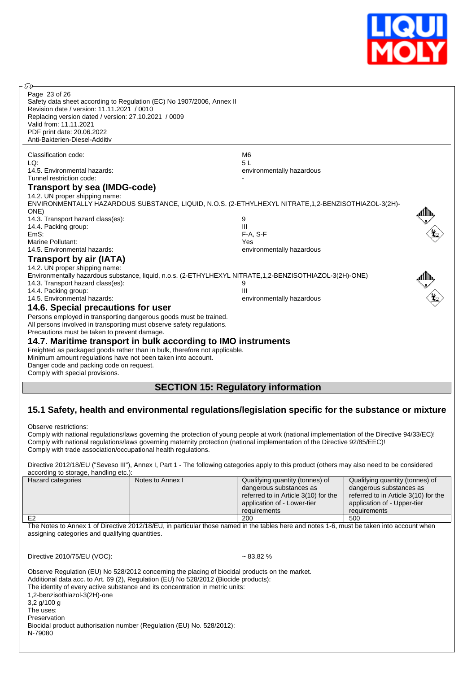

| ඹ                                                                                                                                                                                                                                                                                     |                                           |  |
|---------------------------------------------------------------------------------------------------------------------------------------------------------------------------------------------------------------------------------------------------------------------------------------|-------------------------------------------|--|
| Page 23 of 26<br>Safety data sheet according to Regulation (EC) No 1907/2006, Annex II<br>Revision date / version: 11.11.2021 / 0010<br>Replacing version dated / version: 27.10.2021 / 0009<br>Valid from: 11.11.2021<br>PDF print date: 20.06.2022<br>Anti-Bakterien-Diesel-Additiv |                                           |  |
| Classification code:                                                                                                                                                                                                                                                                  | M <sub>6</sub>                            |  |
| LQ:                                                                                                                                                                                                                                                                                   | 5L                                        |  |
| 14.5. Environmental hazards:                                                                                                                                                                                                                                                          | environmentally hazardous                 |  |
| Tunnel restriction code:                                                                                                                                                                                                                                                              |                                           |  |
| Transport by sea (IMDG-code)                                                                                                                                                                                                                                                          |                                           |  |
| 14.2. UN proper shipping name:                                                                                                                                                                                                                                                        |                                           |  |
| ENVIRONMENTALLY HAZARDOUS SUBSTANCE, LIQUID, N.O.S. (2-ETHYLHEXYL NITRATE,1,2-BENZISOTHIAZOL-3(2H)-                                                                                                                                                                                   |                                           |  |
| ONE)                                                                                                                                                                                                                                                                                  |                                           |  |
| 14.3. Transport hazard class(es):                                                                                                                                                                                                                                                     | 9                                         |  |
| 14.4. Packing group:                                                                                                                                                                                                                                                                  | III                                       |  |
| EmS:                                                                                                                                                                                                                                                                                  | $F-A. S-F$                                |  |
| Marine Pollutant:                                                                                                                                                                                                                                                                     | Yes                                       |  |
| 14.5. Environmental hazards:                                                                                                                                                                                                                                                          | environmentally hazardous                 |  |
| <b>Transport by air (IATA)</b>                                                                                                                                                                                                                                                        |                                           |  |
| 14.2. UN proper shipping name:                                                                                                                                                                                                                                                        |                                           |  |
| Environmentally hazardous substance, liquid, n.o.s. (2-ETHYLHEXYL NITRATE, 1,2-BENZISOTHIAZOL-3(2H)-ONE)                                                                                                                                                                              |                                           |  |
| 14.3. Transport hazard class(es):                                                                                                                                                                                                                                                     | 9                                         |  |
| 14.4. Packing group:                                                                                                                                                                                                                                                                  | Ш                                         |  |
| 14.5. Environmental hazards:                                                                                                                                                                                                                                                          | environmentally hazardous                 |  |
| 14.6. Special precautions for user                                                                                                                                                                                                                                                    |                                           |  |
| Persons employed in transporting dangerous goods must be trained.                                                                                                                                                                                                                     |                                           |  |
| All persons involved in transporting must observe safety regulations.                                                                                                                                                                                                                 |                                           |  |
| Precautions must be taken to prevent damage.                                                                                                                                                                                                                                          |                                           |  |
| 14.7. Maritime transport in bulk according to IMO instruments                                                                                                                                                                                                                         |                                           |  |
| Freighted as packaged goods rather than in bulk, therefore not applicable.                                                                                                                                                                                                            |                                           |  |
| Minimum amount regulations have not been taken into account.                                                                                                                                                                                                                          |                                           |  |
| Danger code and packing code on request.                                                                                                                                                                                                                                              |                                           |  |
| Comply with special provisions.                                                                                                                                                                                                                                                       |                                           |  |
|                                                                                                                                                                                                                                                                                       |                                           |  |
|                                                                                                                                                                                                                                                                                       | <b>SECTION 15: Regulatory information</b> |  |

# **15.1 Safety, health and environmental regulations/legislation specific for the substance or mixture**

Observe restrictions:

Comply with national regulations/laws governing the protection of young people at work (national implementation of the Directive 94/33/EC)! Comply with national regulations/laws governing maternity protection (national implementation of the Directive 92/85/EEC)! Comply with trade association/occupational health regulations.

Directive 2012/18/EU ("Seveso III"), Annex I, Part 1 - The following categories apply to this product (others may also need to be considered according to storage, handling etc.):

| according to storage, rightling etc.). |                  |                                      |                                      |
|----------------------------------------|------------------|--------------------------------------|--------------------------------------|
| Hazard categories                      | Notes to Annex I | Qualifying quantity (tonnes) of      | Qualifying quantity (tonnes) of      |
|                                        |                  | dangerous substances as              | dangerous substances as              |
|                                        |                  | referred to in Article 3(10) for the | referred to in Article 3(10) for the |
|                                        |                  | application of - Lower-tier          | application of - Upper-tier          |
|                                        |                  | requirements                         | requirements                         |
| E <sub>2</sub>                         |                  | 200                                  | 500                                  |

The Notes to Annex 1 of Directive 2012/18/EU, in particular those named in the tables here and notes 1-6, must be taken into account when assigning categories and qualifying quantities.

Directive 2010/75/EU (VOC): ~ 83,82 %

| Observe Regulation (EU) No 528/2012 concerning the placing of biocidal products on the market.<br>Additional data acc. to Art. 69 (2), Regulation (EU) No 528/2012 (Biocide products):<br>The identity of every active substance and its concentration in metric units: |
|-------------------------------------------------------------------------------------------------------------------------------------------------------------------------------------------------------------------------------------------------------------------------|
| 1,2-benzisothiazol-3(2H)-one                                                                                                                                                                                                                                            |
| $3.2$ g/100 g                                                                                                                                                                                                                                                           |
| The uses:                                                                                                                                                                                                                                                               |
| Preservation                                                                                                                                                                                                                                                            |
| Biocidal product authorisation number (Regulation (EU) No. 528/2012):                                                                                                                                                                                                   |
| N-79080                                                                                                                                                                                                                                                                 |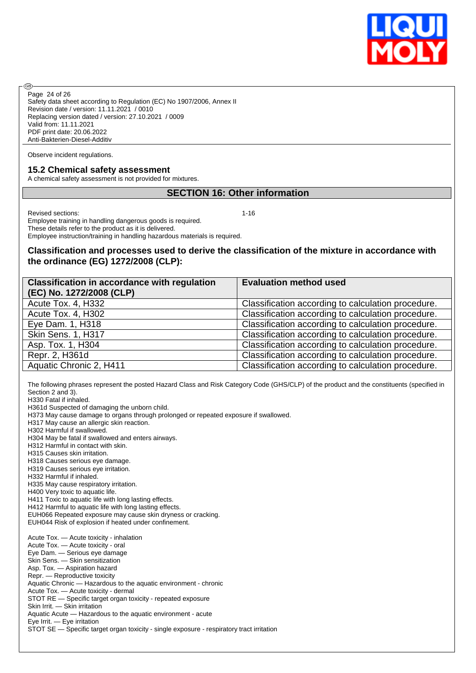

Safety data sheet according to Regulation (EC) No 1907/2006, Annex II Revision date / version: 11.11.2021 / 0010 Replacing version dated / version: 27.10.2021 / 0009 Valid from: 11.11.2021 PDF print date: 20.06.2022 Anti-Bakterien-Diesel-Additiv Page 24 of 26

Observe incident regulations.

#### **15.2 Chemical safety assessment**

A chemical safety assessment is not provided for mixtures.

#### **SECTION 16: Other information**

Revised sections: 1-16

**®** 

Employee training in handling dangerous goods is required. These details refer to the product as it is delivered. Employee instruction/training in handling hazardous materials is required.

#### **Classification and processes used to derive the classification of the mixture in accordance with the ordinance (EG) 1272/2008 (CLP):**

| <b>Classification in accordance with regulation</b> | <b>Evaluation method used</b>                      |
|-----------------------------------------------------|----------------------------------------------------|
| (EC) No. 1272/2008 (CLP)                            |                                                    |
| Acute Tox. 4, H332                                  | Classification according to calculation procedure. |
| Acute Tox. 4, H302                                  | Classification according to calculation procedure. |
| Eye Dam. 1, H318                                    | Classification according to calculation procedure. |
| Skin Sens. 1, H317                                  | Classification according to calculation procedure. |
| Asp. Tox. 1, H304                                   | Classification according to calculation procedure. |
| Repr. 2, H361d                                      | Classification according to calculation procedure. |
| Aquatic Chronic 2, H411                             | Classification according to calculation procedure. |

The following phrases represent the posted Hazard Class and Risk Category Code (GHS/CLP) of the product and the constituents (specified in Section 2 and 3). H330 Fatal if inhaled. H361d Suspected of damaging the unborn child.

H373 May cause damage to organs through prolonged or repeated exposure if swallowed.

H317 May cause an allergic skin reaction.

H302 Harmful if swallowed.

H304 May be fatal if swallowed and enters airways.

- H312 Harmful in contact with skin.
- H315 Causes skin irritation.
- H318 Causes serious eye damage.
- H319 Causes serious eye irritation.

H332 Harmful if inhaled.

- H335 May cause respiratory irritation. H400 Very toxic to aquatic life.
- 
- H411 Toxic to aquatic life with long lasting effects. H412 Harmful to aquatic life with long lasting effects.
- EUH066 Repeated exposure may cause skin dryness or cracking.

EUH044 Risk of explosion if heated under confinement.

Acute Tox. — Acute toxicity - inhalation Acute Tox. — Acute toxicity - oral Eye Dam. — Serious eye damage Skin Sens. — Skin sensitization Asp. Tox. — Aspiration hazard Repr. — Reproductive toxicity Aquatic Chronic — Hazardous to the aquatic environment - chronic Acute Tox. — Acute toxicity - dermal STOT RE — Specific target organ toxicity - repeated exposure Skin Irrit. — Skin irritation Aquatic Acute — Hazardous to the aquatic environment - acute Eye Irrit. — Eye irritation STOT SE — Specific target organ toxicity - single exposure - respiratory tract irritation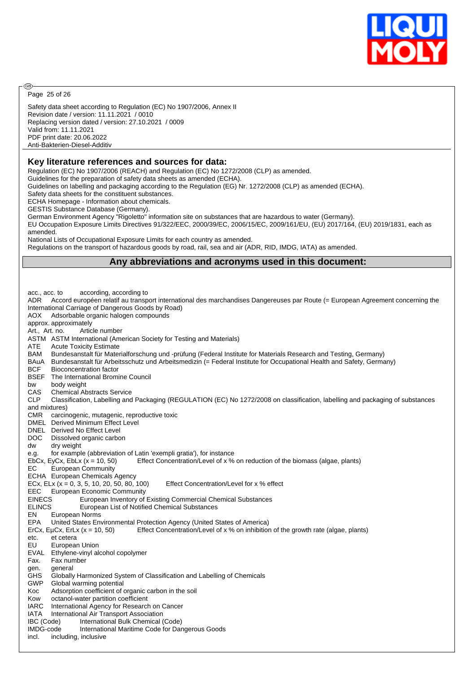

Page 25 of 26

@

Safety data sheet according to Regulation (EC) No 1907/2006, Annex II Revision date / version: 11.11.2021 / 0010 Replacing version dated / version: 27.10.2021 / 0009 Valid from: 11.11.2021 PDF print date: 20.06.2022 Anti-Bakterien-Diesel-Additiv

#### **Key literature references and sources for data:**

Regulation (EC) No 1907/2006 (REACH) and Regulation (EC) No 1272/2008 (CLP) as amended. Guidelines for the preparation of safety data sheets as amended (ECHA).

Guidelines on labelling and packaging according to the Regulation (EG) Nr. 1272/2008 (CLP) as amended (ECHA).

Safety data sheets for the constituent substances.

ECHA Homepage - Information about chemicals.

GESTIS Substance Database (Germany).

German Environment Agency "Rigoletto" information site on substances that are hazardous to water (Germany). EU Occupation Exposure Limits Directives 91/322/EEC, 2000/39/EC, 2006/15/EC, 2009/161/EU, (EU) 2017/164, (EU) 2019/1831, each as amended.

National Lists of Occupational Exposure Limits for each country as amended.

Regulations on the transport of hazardous goods by road, rail, sea and air (ADR, RID, IMDG, IATA) as amended.

# **Any abbreviations and acronyms used in this document:**

acc., acc. to according, according to ADR Accord européen relatif au transport international des marchandises Dangereuses par Route (= European Agreement concerning the International Carriage of Dangerous Goods by Road) AOX Adsorbable organic halogen compounds approx. approximately Art., Art. no. Article number ASTM ASTM International (American Society for Testing and Materials) ATE Acute Toxicity Estimate BAM Bundesanstalt für Materialforschung und -prüfung (Federal Institute for Materials Research and Testing, Germany) BAuA Bundesanstalt für Arbeitsschutz und Arbeitsmedizin (= Federal Institute for Occupational Health and Safety, Germany) BCF Bioconcentration factor BSEF The International Bromine Council bw body weight CAS Chemical Abstracts Service<br>CLP Classification. Labelling and Classification, Labelling and Packaging (REGULATION (EC) No 1272/2008 on classification, labelling and packaging of substances and mixtures) CMR carcinogenic, mutagenic, reproductive toxic DMEL Derived Minimum Effect Level DNEL Derived No Effect Level DOC Dissolved organic carbon dw dry weight e.g. for example (abbreviation of Latin 'exempli gratia'), for instance EbCx, EyCx, EbLx (x = 10, 50) Effect Concentration/Level of x % on reduction of the biomass (algae, plants) EC European Community ECHA European Chemicals Agency ECx, ELx  $(x = 0, 3, 5, 10, 20, 50, 80, 100)$  Effect Concentration/Level for  $x \, \%$  effect EEC European Economic Community EINECS European Inventory of Existing Commercial Chemical Substances ELINCS European List of Notified Chemical Substances EN European Norms EPA United States Environmental Protection Agency (United States of America)<br>ErCx, EuCx, ErLx (x = 10, 50) Effect Concentration/Level of x % on inhibition Effect Concentration/Level of  $x$  % on inhibition of the growth rate (algae, plants) etc. et cetera EU European Union EVAL Ethylene-vinyl alcohol copolymer Fax. Fax number gen. general GHS Globally Harmonized System of Classification and Labelling of Chemicals GWP Global warming potential Koc Adsorption coefficient of organic carbon in the soil Kow octanol-water partition coefficient IARC International Agency for Research on Cancer IATA International Air Transport Association IBC (Code) International Bulk Chemical (Code) IMDG-code International Maritime Code for Dangerous Goods incl. including, inclusive